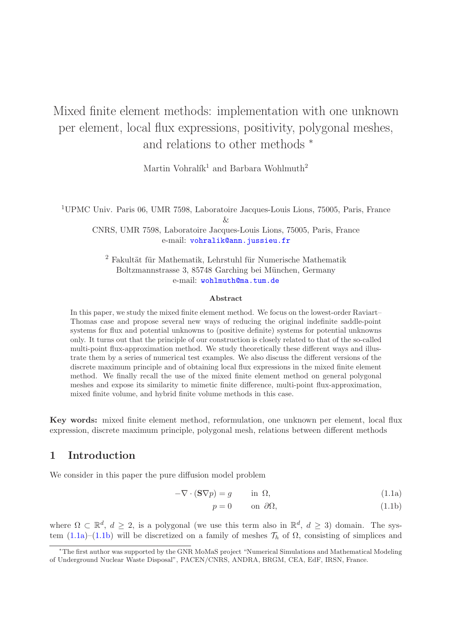# Mixed finite element methods: implementation with one unknown per element, local flux expressions, positivity, polygonal meshes, and relations to other methods <sup>∗</sup>

Martin Vohralík<sup>1</sup> and Barbara Wohlmuth<sup>2</sup>

<sup>1</sup>UPMC Univ. Paris 06, UMR 7598, Laboratoire Jacques-Louis Lions, 75005, Paris, France  $\&$ 

CNRS, UMR 7598, Laboratoire Jacques-Louis Lions, 75005, Paris, France e-mail: [vohralik@ann.jussieu.fr](mailto:vohralik@ann.jussieu.fr)

 $2$  Fakultät für Mathematik, Lehrstuhl für Numerische Mathematik Boltzmannstrasse 3, 85748 Garching bei München, Germany e-mail: [wohlmuth@ma.tum.de](mailto:wohlmuth@ma.tum.de)

#### Abstract

In this paper, we study the mixed finite element method. We focus on the lowest-order Raviart– Thomas case and propose several new ways of reducing the original indefinite saddle-point systems for flux and potential unknowns to (positive definite) systems for potential unknowns only. It turns out that the principle of our construction is closely related to that of the so-called multi-point flux-approximation method. We study theoretically these different ways and illustrate them by a series of numerical test examples. We also discuss the different versions of the discrete maximum principle and of obtaining local flux expressions in the mixed finite element method. We finally recall the use of the mixed finite element method on general polygonal meshes and expose its similarity to mimetic finite difference, multi-point flux-approximation, mixed finite volume, and hybrid finite volume methods in this case.

Key words: mixed finite element method, reformulation, one unknown per element, local flux expression, discrete maximum principle, polygonal mesh, relations between different methods

# <span id="page-0-2"></span>1 Introduction

We consider in this paper the pure diffusion model problem

$$
-\nabla \cdot (\mathbf{S}\nabla p) = g \qquad \text{in } \Omega,\tag{1.1a}
$$

<span id="page-0-1"></span><span id="page-0-0"></span>
$$
p = 0 \qquad \text{on } \partial\Omega,\tag{1.1b}
$$

where  $\Omega \subset \mathbb{R}^d$ ,  $d \geq 2$ , is a polygonal (we use this term also in  $\mathbb{R}^d$ ,  $d \geq 3$ ) domain. The sys-tem [\(1.1a\)](#page-0-0)–[\(1.1b\)](#page-0-1) will be discretized on a family of meshes  $\mathcal{T}_h$  of  $\Omega$ , consisting of simplices and

<sup>∗</sup>The first author was supported by the GNR MoMaS project "Numerical Simulations and Mathematical Modeling of Underground Nuclear Waste Disposal", PACEN/CNRS, ANDRA, BRGM, CEA, EdF, IRSN, France.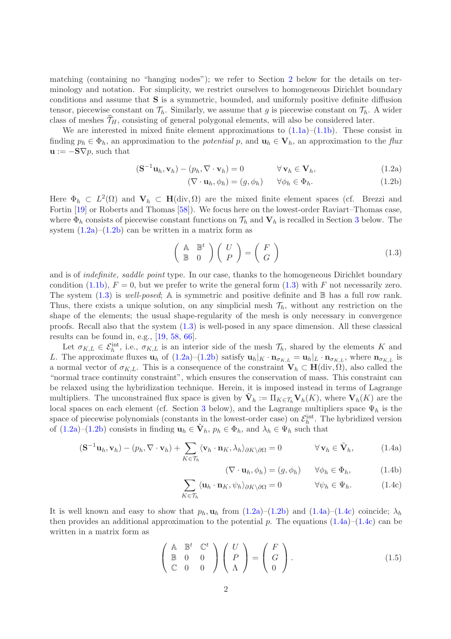matching (containing no "hanging nodes"); we refer to Section [2](#page-5-0) below for the details on terminology and notation. For simplicity, we restrict ourselves to homogeneous Dirichlet boundary conditions and assume that S is a symmetric, bounded, and uniformly positive definite diffusion tensor, piecewise constant on  $\mathcal{T}_h$ . Similarly, we assume that g is piecewise constant on  $\mathcal{T}_h$ . A wider class of meshes  $\mathcal{T}_H$ , consisting of general polygonal elements, will also be considered later.

We are interested in mixed finite element approximations to  $(1.1a)$ – $(1.1b)$ . These consist in finding  $p_h \in \Phi_h$ , an approximation to the *potential* p, and  $\mathbf{u}_h \in \mathbf{V}_h$ , an approximation to the flux  $\mathbf{u} := -\mathbf{S}\nabla p$ , such that

$$
(\mathbf{S}^{-1}\mathbf{u}_h, \mathbf{v}_h) - (p_h, \nabla \cdot \mathbf{v}_h) = 0 \qquad \forall \mathbf{v}_h \in \mathbf{V}_h,
$$
 (1.2a)

<span id="page-1-1"></span><span id="page-1-0"></span>
$$
(\nabla \cdot \mathbf{u}_h, \phi_h) = (g, \phi_h) \qquad \forall \phi_h \in \Phi_h.
$$
\n(1.2b)

Here  $\Phi_h \subset L^2(\Omega)$  and  $\mathbf{V}_h \subset \mathbf{H}(\text{div},\Omega)$  are the mixed finite element spaces (cf. Brezzi and Fortin [\[19\]](#page-27-0) or Roberts and Thomas [\[58\]](#page-30-0)). We focus here on the lowest-order Raviart–Thomas case, where  $\Phi_h$  consists of piecewise constant functions on  $\mathcal{T}_h$  and  $\mathbf{V}_h$  is recalled in Section [3](#page-5-1) below. The system  $(1.2a)$ – $(1.2b)$  can be written in a matrix form as

<span id="page-1-2"></span>
$$
\left(\begin{array}{cc} \mathbb{A} & \mathbb{B}^t \\ \mathbb{B} & 0 \end{array}\right) \left(\begin{array}{c} U \\ P \end{array}\right) = \left(\begin{array}{c} F \\ G \end{array}\right) \tag{1.3}
$$

and is of *indefinite*, *saddle point* type. In our case, thanks to the homogeneous Dirichlet boundary condition [\(1.1b\)](#page-0-1),  $F = 0$ , but we prefer to write the general form [\(1.3\)](#page-1-2) with F not necessarily zero. The system  $(1.3)$  is well-posed; A is symmetric and positive definite and  $\mathbb B$  has a full row rank. Thus, there exists a unique solution, on any simplicial mesh  $\mathcal{T}_h$ , without any restriction on the shape of the elements; the usual shape-regularity of the mesh is only necessary in convergence proofs. Recall also that the system [\(1.3\)](#page-1-2) is well-posed in any space dimension. All these classical results can be found in, e.g., [\[19,](#page-27-0) [58,](#page-30-0) [66\]](#page-30-1).

Let  $\sigma_{K,L} \in \mathcal{E}_h^{\text{int}}$ , i.e.,  $\sigma_{K,L}$  is an interior side of the mesh  $\mathcal{T}_h$ , shared by the elements K and L. The approximate fluxes  $\mathbf{u}_h$  of [\(1.2a\)](#page-1-0)–[\(1.2b\)](#page-1-1) satisfy  $\mathbf{u}_h|_K \cdot \mathbf{n}_{\sigma_{K,L}} = \mathbf{u}_h|_L \cdot \mathbf{n}_{\sigma_{K,L}}$ , where  $\mathbf{n}_{\sigma_{K,L}}$  is a normal vector of  $\sigma_{K,L}$ . This is a consequence of the constraint  $V_h \subset H(\text{div}, \Omega)$ , also called the "normal trace continuity constraint", which ensures the conservation of mass. This constraint can be relaxed using the hybridization technique. Herein, it is imposed instead in terms of Lagrange multipliers. The unconstrained flux space is given by  $\tilde{\mathbf{V}}_h := \Pi_{K \in \mathcal{T}_h} \mathbf{V}_h(K)$ , where  $\mathbf{V}_h(K)$  are the local spaces on each element (cf. Section [3](#page-5-1) below), and the Lagrange multipliers space  $\Psi_h$  is the space of piecewise polynomials (constants in the lowest-order case) on  $\mathcal{E}_h^{\text{int}}$ . The hybridized version of  $(1.2a)-(1.2b)$  $(1.2a)-(1.2b)$  consists in finding  $\mathbf{u}_h \in \tilde{\mathbf{V}}_h$ ,  $p_h \in \Phi_h$ , and  $\lambda_h \in \Psi_h$  such that

$$
(\mathbf{S}^{-1}\mathbf{u}_h, \mathbf{v}_h) - (p_h, \nabla \cdot \mathbf{v}_h) + \sum_{K \in \mathcal{T}_h} \langle \mathbf{v}_h \cdot \mathbf{n}_K, \lambda_h \rangle_{\partial K \setminus \partial \Omega} = 0 \qquad \forall \mathbf{v}_h \in \tilde{\mathbf{V}}_h, \tag{1.4a}
$$

<span id="page-1-4"></span><span id="page-1-3"></span>
$$
(\nabla \cdot \mathbf{u}_h, \phi_h) = (g, \phi_h) \qquad \forall \phi_h \in \Phi_h, \tag{1.4b}
$$

$$
\sum_{K \in \mathcal{T}_h} \langle \mathbf{u}_h \cdot \mathbf{n}_K, \psi_h \rangle_{\partial K \setminus \partial \Omega} = 0 \qquad \forall \psi_h \in \Psi_h.
$$
 (1.4c)

It is well known and easy to show that  $p_h$ ,  $\mathbf{u}_h$  from  $(1.2a)$ – $(1.2b)$  and  $(1.4a)$ – $(1.4c)$  coincide;  $\lambda_h$ then provides an additional approximation to the potential p. The equations  $(1.4a)$ – $(1.4c)$  can be written in a matrix form as

<span id="page-1-5"></span>
$$
\begin{pmatrix}\n\mathbb{A} & \mathbb{B}^t & \mathbb{C}^t \\
\mathbb{B} & 0 & 0 \\
\mathbb{C} & 0 & 0\n\end{pmatrix}\n\begin{pmatrix}\nU \\
P \\
\Lambda\n\end{pmatrix} =\n\begin{pmatrix}\nF \\
G \\
0\n\end{pmatrix}.
$$
\n(1.5)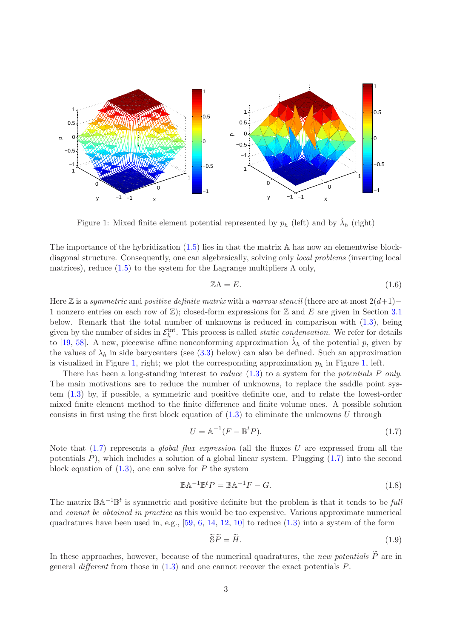

<span id="page-2-0"></span>Figure 1: Mixed finite element potential represented by  $p_h$  (left) and by  $\tilde{\lambda}_h$  (right)

The importance of the hybridization [\(1.5\)](#page-1-5) lies in that the matrix A has now an elementwise blockdiagonal structure. Consequently, one can algebraically, solving only *local problems* (inverting local matrices), reduce [\(1.5\)](#page-1-5) to the system for the Lagrange multipliers  $\Lambda$  only,

<span id="page-2-4"></span>
$$
\mathbb{Z}\Lambda = E. \tag{1.6}
$$

Here Z is a symmetric and positive definite matrix with a narrow stencil (there are at most  $2(d+1)$ − 1 nonzero entries on each row of  $\mathbb{Z}$ ; closed-form expressions for  $\mathbb{Z}$  and E are given in Section [3.1](#page-6-0) below. Remark that the total number of unknowns is reduced in comparison with [\(1.3\)](#page-1-2), being given by the number of sides in  $\mathcal{E}_h^{\text{int}}$ . This process is called *static condensation*. We refer for details to [\[19,](#page-27-0) [58\]](#page-30-0). A new, piecewise affine nonconforming approximation  $\tilde{\lambda}_h$  of the potential p, given by the values of  $\lambda_h$  in side barycenters (see [\(3.3\)](#page-6-1) below) can also be defined. Such an approximation is visualized in Figure [1,](#page-2-0) right; we plot the corresponding approximation  $p_h$  in Figure 1, left.

There has been a long-standing interest to *reduce*  $(1.3)$  to a system for the *potentials* P only. The main motivations are to reduce the number of unknowns, to replace the saddle point system [\(1.3\)](#page-1-2) by, if possible, a symmetric and positive definite one, and to relate the lowest-order mixed finite element method to the finite difference and finite volume ones. A possible solution consists in first using the first block equation of  $(1.3)$  to eliminate the unknowns U through

<span id="page-2-1"></span>
$$
U = \mathbb{A}^{-1}(F - \mathbb{B}^t P). \tag{1.7}
$$

Note that  $(1.7)$  represents a *global flux expression* (all the fluxes U are expressed from all the potentials  $P$ ), which includes a solution of a global linear system. Plugging  $(1.7)$  into the second block equation of  $(1.3)$ , one can solve for P the system

<span id="page-2-3"></span>
$$
\mathbb{B}\mathbb{A}^{-1}\mathbb{B}^t P = \mathbb{B}\mathbb{A}^{-1} F - G.
$$
\n(1.8)

The matrix  $\mathbb{B} \mathbb{A}^{-1} \mathbb{B}^t$  is symmetric and positive definite but the problem is that it tends to be full and cannot be obtained in practice as this would be too expensive. Various approximate numerical quadratures have been used in, e.g.,  $[59, 6, 14, 12, 10]$  $[59, 6, 14, 12, 10]$  $[59, 6, 14, 12, 10]$  $[59, 6, 14, 12, 10]$  $[59, 6, 14, 12, 10]$  $[59, 6, 14, 12, 10]$  $[59, 6, 14, 12, 10]$  $[59, 6, 14, 12, 10]$  to reduce  $(1.3)$  into a system of the form

<span id="page-2-2"></span>
$$
\widetilde{\mathbf{S}}\widetilde{P} = \widetilde{H}.\tag{1.9}
$$

In these approaches, however, because of the numerical quadratures, the new potentials  $\tilde{P}$  are in general different from those in  $(1.3)$  and one cannot recover the exact potentials  $P$ .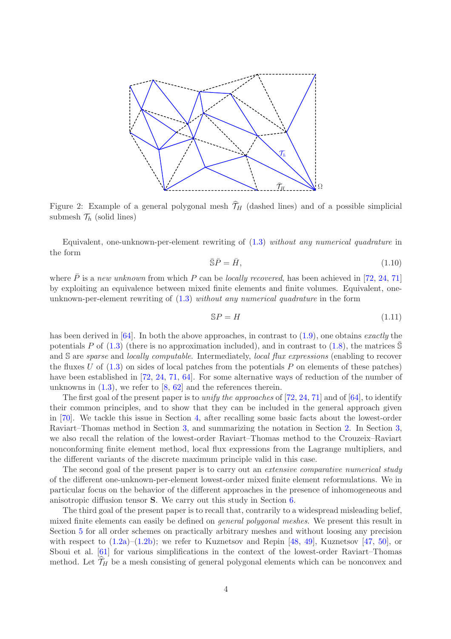

<span id="page-3-0"></span>Figure 2: Example of a general polygonal mesh  $\hat{\mathcal{T}}_H$  (dashed lines) and of a possible simplicial submesh  $\mathcal{T}_h$  (solid lines)

Equivalent, one-unknown-per-element rewriting of [\(1.3\)](#page-1-2) without any numerical quadrature in the form

<span id="page-3-1"></span>
$$
\overline{\mathbb{S}}\overline{P} = \overline{H},\tag{1.10}
$$

where  $\overline{P}$  is a new unknown from which P can be locally recovered, has been achieved in [\[72,](#page-30-3) [24,](#page-27-4) [71\]](#page-30-4) by exploiting an equivalence between mixed finite elements and finite volumes. Equivalent, oneunknown-per-element rewriting of  $(1.3)$  without any numerical quadrature in the form

<span id="page-3-2"></span>
$$
SP = H \tag{1.11}
$$

has been derived in  $[64]$ . In both the above approaches, in contrast to  $(1.9)$ , one obtains *exactly* the potentials P of  $(1.3)$  (there is no approximation included), and in contrast to  $(1.8)$ , the matrices S and S are *sparse* and *locally computable*. Intermediately, *local flux expressions* (enabling to recover the fluxes U of  $(1.3)$  on sides of local patches from the potentials P on elements of these patches) have been established in [\[72,](#page-30-3) [24,](#page-27-4) [71,](#page-30-4) [64\]](#page-30-5). For some alternative ways of reduction of the number of unknowns in  $(1.3)$ , we refer to  $[8, 62]$  $[8, 62]$  and the references therein.

The first goal of the present paper is to unify the approaches of  $[72, 24, 71]$  $[72, 24, 71]$  $[72, 24, 71]$  $[72, 24, 71]$  and of  $[64]$ , to identify their common principles, and to show that they can be included in the general approach given in [\[70\]](#page-30-7). We tackle this issue in Section [4,](#page-7-0) after recalling some basic facts about the lowest-order Raviart–Thomas method in Section [3,](#page-5-1) and summarizing the notation in Section [2.](#page-5-0) In Section [3,](#page-5-1) we also recall the relation of the lowest-order Raviart–Thomas method to the Crouzeix–Raviart nonconforming finite element method, local flux expressions from the Lagrange multipliers, and the different variants of the discrete maximum principle valid in this case.

The second goal of the present paper is to carry out an *extensive comparative numerical study* of the different one-unknown-per-element lowest-order mixed finite element reformulations. We in particular focus on the behavior of the different approaches in the presence of inhomogeneous and anisotropic diffusion tensor S. We carry out this study in Section [6.](#page-20-0)

The third goal of the present paper is to recall that, contrarily to a widespread misleading belief, mixed finite elements can easily be defined on general polygonal meshes. We present this result in Section [5](#page-18-0) for all order schemes on practically arbitrary meshes and without loosing any precision with respect to  $(1.2a)$ – $(1.2b)$ ; we refer to Kuznetsov and Repin [\[48,](#page-29-0) [49\]](#page-29-1), Kuznetsov [\[47,](#page-29-2) [50\]](#page-29-3), or Sboui et al. [\[61\]](#page-30-8) for various simplifications in the context of the lowest-order Raviart–Thomas method. Let  $\widehat{\mathcal{T}}_H$  be a mesh consisting of general polygonal elements which can be nonconvex and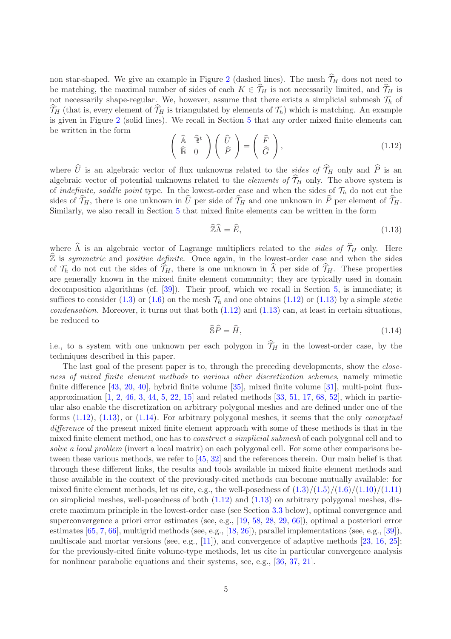non star-shaped. We give an example in Figure [2](#page-3-0) (dashed lines). The mesh  $\hat{\mathcal{T}}_H$  does not need to be matching, the maximal number of sides of each  $K \in \hat{\mathcal{T}}_H$  is not necessarily limited, and  $\hat{\mathcal{T}}_H$  is not necessarily shape-regular. We, however, assume that there exists a simplicial submesh  $\mathcal{T}_h$  of  $\widehat{\mathcal{T}}_H$  (that is, every element of  $\widehat{\mathcal{T}}_H$  is triangulated by elements of  $\mathcal{T}_h$ ) which is matching. An example is given in Figure [2](#page-3-0) (solid lines). We recall in Section [5](#page-18-0) that any order mixed finite elements can be written in the form

<span id="page-4-0"></span>
$$
\begin{pmatrix}\n\widehat{\mathbb{A}} & \widehat{\mathbb{B}}^t \\
\widehat{\mathbb{B}} & 0\n\end{pmatrix}\n\begin{pmatrix}\n\widehat{U} \\
\widehat{P}\n\end{pmatrix} = \begin{pmatrix}\n\widehat{F} \\
\widehat{G}\n\end{pmatrix},
$$
\n(1.12)

where  $\hat{U}$  is an algebraic vector of flux unknowns related to the sides of  $\hat{\mathcal{T}}_H$  only and  $\hat{P}$  is an algebraic vector of potential unknowns related to the *elements of*  $\widehat{\mathcal{T}}_H$  only. The above system is of indefinite, saddle point type. In the lowest-order case and when the sides of  $\mathcal{T}_h$  do not cut the sides of  $\hat{\mathcal{T}}_H$ , there is one unknown in  $\hat{U}$  per side of  $\hat{\mathcal{T}}_H$  and one unknown in  $\hat{P}$  per element of  $\hat{\mathcal{T}}_H$ . Similarly, we also recall in Section [5](#page-18-0) that mixed finite elements can be written in the form

<span id="page-4-1"></span>
$$
\widetilde{\mathbb{Z}}\widehat{\Lambda} = \widehat{E},\tag{1.13}
$$

where  $\widehat{\Lambda}$  is an algebraic vector of Lagrange multipliers related to the sides of  $\widehat{\mathcal{T}}_H$  only. Here  $\widehat{\mathbb{Z}}$  is symmetric and positive definite. Once again, in the lowest-order case and when the sides of  $\mathcal{T}_h$  do not cut the sides of  $\mathcal{T}_H$ , there is one unknown in  $\Lambda$  per side of  $\mathcal{T}_H$ . These properties are generally known in the mixed finite element community; they are typically used in domain decomposition algorithms (cf. [\[39\]](#page-28-0)). Their proof, which we recall in Section [5,](#page-18-0) is immediate; it suffices to consider [\(1.3\)](#page-1-2) or [\(1.6\)](#page-2-4) on the mesh  $\mathcal{T}_h$  and one obtains [\(1.12\)](#page-4-0) or [\(1.13\)](#page-4-1) by a simple *static* condensation. Moreover, it turns out that both  $(1.12)$  and  $(1.13)$  can, at least in certain situations, be reduced to

<span id="page-4-2"></span>
$$
\widehat{\mathbb{S}}\widehat{P} = \widehat{H},\tag{1.14}
$$

i.e., to a system with one unknown per each polygon in  $\hat{\mathcal{T}}_H$  in the lowest-order case, by the techniques described in this paper.

The last goal of the present paper is to, through the preceding developments, show the closeness of mixed finite element methods to various other discretization schemes, namely mimetic finite difference [\[43,](#page-29-4) [20,](#page-27-5) [40\]](#page-28-1), hybrid finite volume [\[35\]](#page-28-2), mixed finite volume [\[31\]](#page-28-3), multi-point fluxapproximation  $[1, 2, 46, 3, 44, 5, 22, 15]$  $[1, 2, 46, 3, 44, 5, 22, 15]$  $[1, 2, 46, 3, 44, 5, 22, 15]$  $[1, 2, 46, 3, 44, 5, 22, 15]$  $[1, 2, 46, 3, 44, 5, 22, 15]$  $[1, 2, 46, 3, 44, 5, 22, 15]$  $[1, 2, 46, 3, 44, 5, 22, 15]$  $[1, 2, 46, 3, 44, 5, 22, 15]$  $[1, 2, 46, 3, 44, 5, 22, 15]$  $[1, 2, 46, 3, 44, 5, 22, 15]$  $[1, 2, 46, 3, 44, 5, 22, 15]$  $[1, 2, 46, 3, 44, 5, 22, 15]$  $[1, 2, 46, 3, 44, 5, 22, 15]$  $[1, 2, 46, 3, 44, 5, 22, 15]$  and related methods  $[33, 51, 17, 68, 52]$  $[33, 51, 17, 68, 52]$  $[33, 51, 17, 68, 52]$  $[33, 51, 17, 68, 52]$  $[33, 51, 17, 68, 52]$  $[33, 51, 17, 68, 52]$  $[33, 51, 17, 68, 52]$  $[33, 51, 17, 68, 52]$ , which in particular also enable the discretization on arbitrary polygonal meshes and are defined under one of the forms  $(1.12)$ ,  $(1.13)$ , or  $(1.14)$ . For arbitrary polygonal meshes, it seems that the only *conceptual* difference of the present mixed finite element approach with some of these methods is that in the mixed finite element method, one has to *construct a simplicial submesh* of each polygonal cell and to solve a local problem (invert a local matrix) on each polygonal cell. For some other comparisons between these various methods, we refer to [\[45,](#page-29-9) [32\]](#page-28-5) and the references therein. Our main belief is that through these different links, the results and tools available in mixed finite element methods and those available in the context of the previously-cited methods can become mutually available: for mixed finite element methods, let us cite, e.g., the well-posedness of  $(1.3)/(1.5)/(1.6)/(1.10)/(1.11)$  $(1.3)/(1.5)/(1.6)/(1.10)/(1.11)$  $(1.3)/(1.5)/(1.6)/(1.10)/(1.11)$  $(1.3)/(1.5)/(1.6)/(1.10)/(1.11)$  $(1.3)/(1.5)/(1.6)/(1.10)/(1.11)$  $(1.3)/(1.5)/(1.6)/(1.10)/(1.11)$  $(1.3)/(1.5)/(1.6)/(1.10)/(1.11)$  $(1.3)/(1.5)/(1.6)/(1.10)/(1.11)$ on simplicial meshes, well-posedness of both  $(1.12)$  and  $(1.13)$  on arbitrary polygonal meshes, discrete maximum principle in the lowest-order case (see Section [3.3](#page-7-1) below), optimal convergence and superconvergence a priori error estimates (see, e.g., [\[19,](#page-27-0) [58,](#page-30-0) [28,](#page-28-6) [29,](#page-28-7) [66\]](#page-30-1)), optimal a posteriori error estimates [\[65,](#page-30-10) [7,](#page-26-6) [66\]](#page-30-1), multigrid methods (see, e.g., [\[18,](#page-27-9) [26\]](#page-28-8)), parallel implementations (see, e.g., [\[39\]](#page-28-0)), multiscale and mortar versions (see, e.g., [\[11\]](#page-27-10)), and convergence of adaptive methods [\[23,](#page-27-11) [16,](#page-27-12) [25\]](#page-27-13); for the previously-cited finite volume-type methods, let us cite in particular convergence analysis for nonlinear parabolic equations and their systems, see, e.g., [\[36,](#page-28-9) [37,](#page-28-10) [21\]](#page-27-14).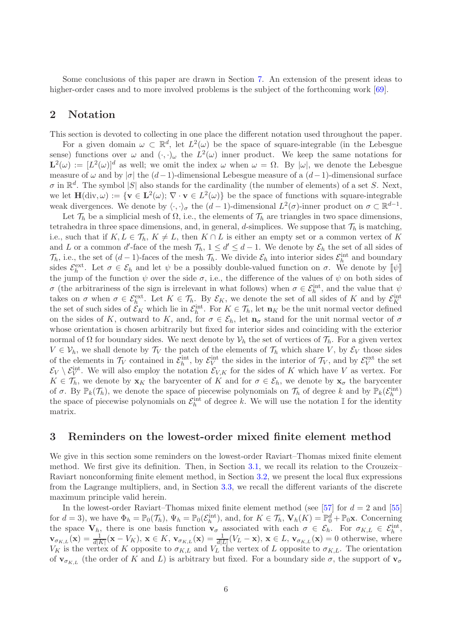Some conclusions of this paper are drawn in Section [7.](#page-25-0) An extension of the present ideas to higher-order cases and to more involved problems is the subject of the forthcoming work [\[69\]](#page-30-11).

# <span id="page-5-0"></span>2 Notation

This section is devoted to collecting in one place the different notation used throughout the paper.

For a given domain  $\omega \subset \mathbb{R}^d$ , let  $L^2(\omega)$  be the space of square-integrable (in the Lebesgue sense) functions over  $\omega$  and  $(\cdot, \cdot)_{\omega}$  the  $L^2(\omega)$  inner product. We keep the same notations for  $\mathbf{L}^2(\omega) := [L^2(\omega)]^d$  as well; we omit the index  $\omega$  when  $\omega = \Omega$ . By  $|\omega|$ , we denote the Lebesgue measure of  $\omega$  and by  $|\sigma|$  the  $(d-1)$ -dimensional Lebesgue measure of a  $(d-1)$ -dimensional surface  $\sigma$  in  $\mathbb{R}^d$ . The symbol  $|S|$  also stands for the cardinality (the number of elements) of a set S. Next, we let  $\mathbf{H}(\text{div}, \omega) := \{ \mathbf{v} \in \mathbf{L}^2(\omega) ; \, \nabla \cdot \mathbf{v} \in L^2(\omega) \}$  be the space of functions with square-integrable weak divergences. We denote by  $\langle \cdot, \cdot \rangle_{\sigma}$  the  $(d-1)$ -dimensional  $L^2(\sigma)$ -inner product on  $\sigma \subset \mathbb{R}^{d-1}$ .

Let  $\mathcal{T}_h$  be a simplicial mesh of  $\Omega$ , i.e., the elements of  $\mathcal{T}_h$  are triangles in two space dimensions, tetrahedra in three space dimensions, and, in general, d-simplices. We suppose that  $\mathcal{T}_h$  is matching, i.e., such that if  $K, L \in \mathcal{T}_h, K \neq L$ , then  $K \cap L$  is either an empty set or a common vertex of K and L or a common d'-face of the mesh  $\mathcal{T}_h$ ,  $1 \leq d' \leq d-1$ . We denote by  $\mathcal{E}_h$  the set of all sides of  $\mathcal{T}_h$ , i.e., the set of  $(d-1)$ -faces of the mesh  $\mathcal{T}_h$ . We divide  $\mathcal{E}_h$  into interior sides  $\mathcal{E}_h^{\text{int}}$  and boundary sides  $\mathcal{E}_h^{\text{ext}}$ . Let  $\sigma \in \mathcal{E}_h$  and let  $\psi$  be a possibly double-valued function on  $\sigma$ . We denote by  $[\![\psi]\!]$ the jump of the function  $\psi$  over the side  $\sigma$ , i.e., the difference of the values of  $\psi$  on both sides of  $\sigma$  (the arbitrariness of the sign is irrelevant in what follows) when  $\sigma \in \mathcal{E}_h^{\text{int}}$ , and the value that  $\psi$ takes on  $\sigma$  when  $\sigma \in \mathcal{E}_h^{\text{ext}}$ . Let  $K \in \mathcal{T}_h$ . By  $\mathcal{E}_K$ , we denote the set of all sides of K and by  $\mathcal{E}_K^{\text{int}}$ the set of such sides of  $\mathcal{E}_K$  which lie in  $\mathcal{E}_h^{\text{int}}$ . For  $K \in \mathcal{T}_h$ , let  $\mathbf{n}_K$  be the unit normal vector defined on the sides of K, outward to K, and, for  $\sigma \in \mathcal{E}_h$ , let  $\mathbf{n}_{\sigma}$  stand for the unit normal vector of  $\sigma$ whose orientation is chosen arbitrarily but fixed for interior sides and coinciding with the exterior normal of Ω for boundary sides. We next denote by  $\mathcal{V}_h$  the set of vertices of  $\mathcal{T}_h$ . For a given vertex  $V \in \mathcal{V}_h$ , we shall denote by  $\mathcal{T}_V$  the patch of the elements of  $\mathcal{T}_h$  which share V, by  $\mathcal{E}_V$  those sides of the elements in  $\mathcal{T}_V$  contained in  $\mathcal{E}_h^{\text{int}}$ , by  $\mathcal{E}_V^{\text{int}}$  the sides in the interior of  $\mathcal{T}_V$ , and by  $\mathcal{E}_V^{\text{ext}}$  the set  $\mathcal{E}_V \setminus \mathcal{E}_V^{\text{int}}$ . We will also employ the notation  $\mathcal{E}_{V,K}$  for the sides of K which have V as vertex. For  $K \in \mathcal{T}_h$ , we denote by  $\mathbf{x}_K$  the barycenter of K and for  $\sigma \in \mathcal{E}_h$ , we denote by  $\mathbf{x}_\sigma$  the barycenter of  $\sigma$ . By  $\mathbb{P}_k(\mathcal{T}_h)$ , we denote the space of piecewise polynomials on  $\mathcal{T}_h$  of degree k and by  $\mathbb{P}_k(\mathcal{E}_h^{\text{int}})$ the space of piecewise polynomials on  $\mathcal{E}_h^{\text{int}}$  of degree k. We will use the notation I for the identity matrix.

# <span id="page-5-1"></span>3 Reminders on the lowest-order mixed finite element method

We give in this section some reminders on the lowest-order Raviart–Thomas mixed finite element method. We first give its definition. Then, in Section [3.1,](#page-6-0) we recall its relation to the Crouzeix– Raviart nonconforming finite element method, in Section [3.2,](#page-6-2) we present the local flux expressions from the Lagrange multipliers, and, in Section [3.3,](#page-7-1) we recall the different variants of the discrete maximum principle valid herein.

In the lowest-order Raviart–Thomas mixed finite element method (see [\[57\]](#page-29-10) for  $d = 2$  and [\[55\]](#page-29-11) for  $d = 3$ ), we have  $\Phi_h = \mathbb{P}_0(\mathcal{T}_h)$ ,  $\Psi_h = \mathbb{P}_0(\mathcal{E}_h^{\text{int}})$ , and, for  $K \in \mathcal{T}_h$ ,  $\mathbf{V}_h(K) = \mathbb{P}_0^d + \mathbb{P}_0\mathbf{x}$ . Concerning the space  $V_{h}$ , there is one basis function  $\mathbf{v}_{\sigma}$  associated with each  $\sigma \in \mathcal{E}_{h}$ . For  $\sigma_{K,L} \in \mathcal{E}_{h}^{\text{int}}$ ,  $\mathbf{v}_{\sigma_{K,L}}(\mathbf{x}) = \frac{1}{d|K|}(\mathbf{x} - V_K)$ ,  $\mathbf{x} \in K$ ,  $\mathbf{v}_{\sigma_{K,L}}(\mathbf{x}) = \frac{1}{d|L|}(V_L - \mathbf{x})$ ,  $\mathbf{x} \in L$ ,  $\mathbf{v}_{\sigma_{K,L}}(\mathbf{x}) = 0$  otherwise, where  $V_K$  is the vertex of K opposite to  $\sigma_{K,L}$  and  $V_L$  the vertex of L opposite to  $\sigma_{K,L}$ . The orientation of  $\mathbf{v}_{\sigma_{KL}}$  (the order of K and L) is arbitrary but fixed. For a boundary side  $\sigma$ , the support of  $\mathbf{v}_{\sigma}$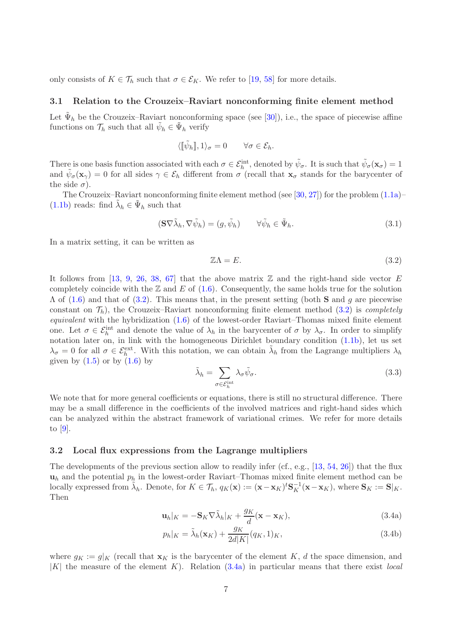<span id="page-6-0"></span>only consists of  $K \in \mathcal{T}_h$  such that  $\sigma \in \mathcal{E}_K$ . We refer to [\[19,](#page-27-0) [58\]](#page-30-0) for more details.

#### 3.1 Relation to the Crouzeix–Raviart nonconforming finite element method

Let  $\tilde{\Psi}_h$  be the Crouzeix–Raviart nonconforming space (see [\[30\]](#page-28-11)), i.e., the space of piecewise affine functions on  $\mathcal{T}_h$  such that all  $\tilde{\psi}_h \in \tilde{\Psi}_h$  verify

$$
\langle [\![\tilde{\psi}_{h}]\!], 1\rangle_{\sigma}=0 \qquad \forall \sigma \in \mathcal{E}_{h}.
$$

There is one basis function associated with each  $\sigma \in \mathcal{E}_h^{\text{int}}$ , denoted by  $\tilde{\psi}_{\sigma}$ . It is such that  $\tilde{\psi}_{\sigma}(\mathbf{x}_{\sigma}) = 1$ and  $\tilde{\psi}_{\sigma}(\mathbf{x}_{\gamma}) = 0$  for all sides  $\gamma \in \mathcal{E}_h$  different from  $\sigma$  (recall that  $\mathbf{x}_{\sigma}$  stands for the barycenter of the side  $\sigma$ ).

The Crouzeix–Raviart nonconforming finite element method (see [\[30,](#page-28-11) [27\]](#page-28-12)) for the problem  $(1.1a)$ – [\(1.1b\)](#page-0-1) reads: find  $\tilde{\lambda}_h \in \tilde{\Psi}_h$  such that

$$
(\mathbf{S}\nabla\tilde{\lambda}_h, \nabla\tilde{\psi}_h) = (g, \tilde{\psi}_h) \qquad \forall \tilde{\psi}_h \in \tilde{\Psi}_h.
$$
\n(3.1)

In a matrix setting, it can be written as

<span id="page-6-3"></span>
$$
\mathbb{Z}\Lambda = E. \tag{3.2}
$$

It follows from [\[13,](#page-27-15) [9,](#page-26-7) [26,](#page-28-8) [38,](#page-28-13) [67\]](#page-30-12) that the above matrix  $\mathbb Z$  and the right-hand side vector E completely coincide with the  $\mathbb Z$  and E of [\(1.6\)](#page-2-4). Consequently, the same holds true for the solution  $\Lambda$  of [\(1.6\)](#page-2-4) and that of [\(3.2\)](#page-6-3). This means that, in the present setting (both **S** and g are piecewise constant on  $\mathcal{T}_h$ , the Crouzeix–Raviart nonconforming finite element method [\(3.2\)](#page-6-3) is *completely* equivalent with the hybridization  $(1.6)$  of the lowest-order Raviart–Thomas mixed finite element one. Let  $\sigma \in \mathcal{E}_h^{\text{int}}$  and denote the value of  $\lambda_h$  in the barycenter of  $\sigma$  by  $\lambda_{\sigma}$ . In order to simplify notation later on, in link with the homogeneous Dirichlet boundary condition [\(1.1b\)](#page-0-1), let us set  $\lambda_{\sigma}=0$  for all  $\sigma\in\mathcal{E}_h^{\text{ext}}$ . With this notation, we can obtain  $\tilde{\lambda}_h$  from the Lagrange multipliers  $\lambda_h$ given by  $(1.5)$  or by  $(1.6)$  by

<span id="page-6-1"></span>
$$
\tilde{\lambda}_h = \sum_{\sigma \in \mathcal{E}_h^{\text{int}}} \lambda_\sigma \tilde{\psi}_\sigma. \tag{3.3}
$$

We note that for more general coefficients or equations, there is still no structural difference. There may be a small difference in the coefficients of the involved matrices and right-hand sides which can be analyzed within the abstract framework of variational crimes. We refer for more details to [\[9\]](#page-26-7).

#### <span id="page-6-2"></span>3.2 Local flux expressions from the Lagrange multipliers

The developments of the previous section allow to readily infer (cf., e.g., [\[13,](#page-27-15) [54,](#page-29-12) [26\]](#page-28-8)) that the flux  $u_h$  and the potential  $p_h$  in the lowest-order Raviart–Thomas mixed finite element method can be locally expressed from  $\tilde{\lambda}_h$ . Denote, for  $K \in \mathcal{T}_h$ ,  $q_K(\mathbf{x}) := (\mathbf{x} - \mathbf{x}_K)^t \mathbf{S}_K^{-1}(\mathbf{x} - \mathbf{x}_K)$ , where  $\mathbf{S}_K := \mathbf{S}|_K$ . Then

$$
\mathbf{u}_h|_K = -\mathbf{S}_K \nabla \tilde{\lambda}_h|_K + \frac{g_K}{d}(\mathbf{x} - \mathbf{x}_K),\tag{3.4a}
$$

<span id="page-6-5"></span><span id="page-6-4"></span>
$$
p_h|_K = \tilde{\lambda}_h(\mathbf{x}_K) + \frac{g_K}{2d|K|}(q_K, 1)_K,
$$
\n(3.4b)

where  $g_K := g|_K$  (recall that  $\mathbf{x}_K$  is the barycenter of the element K, d the space dimension, and  $|K|$  the measure of the element K). Relation [\(3.4a\)](#page-6-4) in particular means that there exist local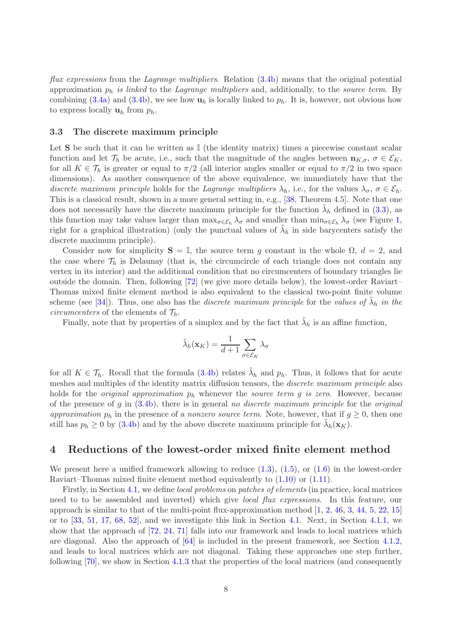flux expressions from the Lagrange multipliers. Relation [\(3.4b\)](#page-6-5) means that the original potential approximation  $p_h$  is linked to the Lagrange multipliers and, additionally, to the source term. By combining [\(3.4a\)](#page-6-4) and [\(3.4b\)](#page-6-5), we see how  $\mathbf{u}_h$  is locally linked to  $p_h$ . It is, however, not obvious how to express locally  $\mathbf{u}_h$  from  $p_h$ .

#### <span id="page-7-1"></span>3.3 The discrete maximum principle

Let  $S$  be such that it can be written as  $\mathbb{I}$  (the identity matrix) times a piecewise constant scalar function and let  $\mathcal{T}_h$  be acute, i.e., such that the magnitude of the angles between  $\mathbf{n}_{K,\sigma}$ ,  $\sigma \in \mathcal{E}_K$ , for all  $K \in \mathcal{T}_h$  is greater or equal to  $\pi/2$  (all interior angles smaller or equal to  $\pi/2$  in two space dimensions). As another consequence of the above equivalence, we immediately have that the discrete maximum principle holds for the Lagrange multipliers  $\lambda_h$ , i.e., for the values  $\lambda_{\sigma}$ ,  $\sigma \in \mathcal{E}_h$ . This is a classical result, shown in a more general setting in, e.g., [\[38,](#page-28-13) Theorem 4.5]. Note that one does not necessarily have the discrete maximum principle for the function  $\tilde{\lambda}_h$  defined in [\(3.3\)](#page-6-1), as this function may take values larger than  $\max_{\sigma \in \mathcal{E}_h} \lambda_{\sigma}$  and smaller than  $\min_{\sigma \in \mathcal{E}_h} \lambda_{\sigma}$  (see Figure [1,](#page-2-0) right for a graphical illustration) (only the punctual values of  $\tilde{\lambda}_h$  in side barycenters satisfy the discrete maximum principle).

Consider now for simplicity  $S = \mathbb{I}$ , the source term g constant in the whole  $\Omega$ ,  $d = 2$ , and the case where  $\mathcal{T}_h$  is Delaunay (that is, the circumcircle of each triangle does not contain any vertex in its interior) and the additional condition that no circumcenters of boundary triangles lie outside the domain. Then, following [\[72\]](#page-30-3) (we give more details below), the lowest-order Raviart– Thomas mixed finite element method is also equivalent to the classical two-point finite volume scheme (see [\[34\]](#page-28-14)). Thus, one also has the *discrete maximum principle* for the values of  $\tilde{\lambda}_h$  in the *circumcenters* of the elements of  $\mathcal{T}_h$ .

Finally, note that by properties of a simplex and by the fact that  $\tilde{\lambda}_h$  is an affine function,

$$
\tilde{\lambda}_h(\mathbf{x}_K) = \frac{1}{d+1} \sum_{\sigma \in \mathcal{E}_K} \lambda_{\sigma}
$$

for all  $K \in \mathcal{T}_h$ . Recall that the formula [\(3.4b\)](#page-6-5) relates  $\tilde{\lambda}_h$  and  $p_h$ . Thus, it follows that for acute meshes and multiples of the identity matrix diffusion tensors, the *discrete maximum principle* also holds for the *original approximation*  $p_h$  whenever the *source term g is zero*. However, because of the presence of g in  $(3.4b)$ , there is in general no discrete maximum principle for the original approximation  $p_h$  in the presence of a nonzero source term. Note, however, that if  $g \geq 0$ , then one still has  $p_h \ge 0$  by [\(3.4b\)](#page-6-5) and by the above discrete maximum principle for  $\tilde{\lambda}_h(\mathbf{x}_K)$ .

## <span id="page-7-0"></span>4 Reductions of the lowest-order mixed finite element method

We present here a unified framework allowing to reduce  $(1.3)$ ,  $(1.5)$ , or  $(1.6)$  in the lowest-order Raviart–Thomas mixed finite element method equivalently to [\(1.10\)](#page-3-1) or [\(1.11\)](#page-3-2).

Firstly, in Section [4.1,](#page-8-0) we define local problems on patches of elements (in practice, local matrices need to to be assembled and inverted) which give *local flux expressions*. In this feature, our approach is similar to that of the multi-point flux-approximation method [\[1,](#page-26-2) [2,](#page-26-3) [46,](#page-29-5) [3,](#page-26-4) [44,](#page-29-6) [5,](#page-26-5) [22,](#page-27-6) [15\]](#page-27-7) or to [\[33,](#page-28-4) [51,](#page-29-7) [17,](#page-27-8) [68,](#page-30-9) [52\]](#page-29-8), and we investigate this link in Section [4.1.](#page-8-0) Next, in Section [4.1.1,](#page-11-0) we show that the approach of [\[72,](#page-30-3) [24,](#page-27-4) [71\]](#page-30-4) falls into our framework and leads to local matrices which are diagonal. Also the approach of [\[64\]](#page-30-5) is included in the present framework, see Section [4.1.2,](#page-12-0) and leads to local matrices which are not diagonal. Taking these approaches one step further, following [\[70\]](#page-30-7), we show in Section [4.1.3](#page-13-0) that the properties of the local matrices (and consequently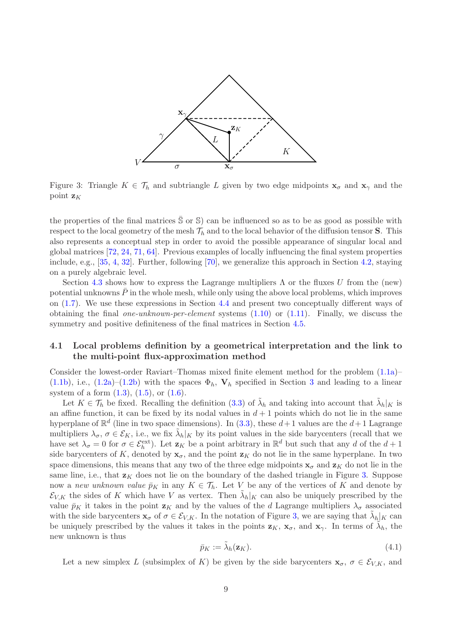

<span id="page-8-1"></span>Figure 3: Triangle  $K \in \mathcal{T}_h$  and subtriangle L given by two edge midpoints  $\mathbf{x}_{\sigma}$  and  $\mathbf{x}_{\gamma}$  and the point  $z_K$ 

the properties of the final matrices  $\overline{S}$  or  $\overline{S}$ ) can be influenced so as to be as good as possible with respect to the local geometry of the mesh  $\mathcal{T}_h$  and to the local behavior of the diffusion tensor **S**. This also represents a conceptual step in order to avoid the possible appearance of singular local and global matrices [\[72,](#page-30-3) [24,](#page-27-4) [71,](#page-30-4) [64\]](#page-30-5). Previous examples of locally influencing the final system properties include, e.g., [\[35,](#page-28-2) [4,](#page-26-8) [32\]](#page-28-5). Further, following [\[70\]](#page-30-7), we generalize this approach in Section [4.2,](#page-14-0) staying on a purely algebraic level.

Section [4.3](#page-16-0) shows how to express the Lagrange multipliers  $\Lambda$  or the fluxes U from the (new) potential unknowns  $\bar{P}$  in the whole mesh, while only using the above local problems, which improves on [\(1.7\)](#page-2-1). We use these expressions in Section [4.4](#page-17-0) and present two conceptually different ways of obtaining the final *one-unknown-per-element* systems  $(1.10)$  or  $(1.11)$ . Finally, we discuss the symmetry and positive definiteness of the final matrices in Section [4.5.](#page-18-1)

# <span id="page-8-0"></span>4.1 Local problems definition by a geometrical interpretation and the link to the multi-point flux-approximation method

Consider the lowest-order Raviart–Thomas mixed finite element method for the problem [\(1.1a\)](#page-0-0)– [\(1.1b\)](#page-0-1), i.e., [\(1.2a\)](#page-1-0)–[\(1.2b\)](#page-1-1) with the spaces  $\Phi_h$ ,  $V_h$  specified in Section [3](#page-5-1) and leading to a linear system of a form  $(1.3)$ ,  $(1.5)$ , or  $(1.6)$ .

Let  $K \in \mathcal{T}_h$  be fixed. Recalling the definition [\(3.3\)](#page-6-1) of  $\tilde{\lambda}_h$  and taking into account that  $\tilde{\lambda}_h|_K$  is an affine function, it can be fixed by its nodal values in  $d+1$  points which do not lie in the same hyperplane of  $\mathbb{R}^d$  (line in two space dimensions). In [\(3.3\)](#page-6-1), these  $d+1$  values are the  $d+1$  Lagrange multipliers  $\lambda_{\sigma}$ ,  $\sigma \in \mathcal{E}_K$ , i.e., we fix  $\tilde{\lambda}_h|_K$  by its point values in the side barycenters (recall that we have set  $\lambda_{\sigma} = 0$  for  $\sigma \in \mathcal{E}_h^{\text{ext}}$ . Let  $\mathbf{z}_K$  be a point arbitrary in  $\mathbb{R}^d$  but such that any d of the  $d+1$ side barycenters of K, denoted by  $x_{\sigma}$ , and the point  $z_K$  do not lie in the same hyperplane. In two space dimensions, this means that any two of the three edge midpoints  $x_{\sigma}$  and  $z_{K}$  do not lie in the same line, i.e., that  $z<sub>K</sub>$  does not lie on the boundary of the dashed triangle in Figure [3.](#page-8-1) Suppose now a new unknown value  $\bar{p}_K$  in any  $K \in \mathcal{T}_h$ . Let V be any of the vertices of K and denote by  $\mathcal{E}_{V,K}$  the sides of K which have V as vertex. Then  $\tilde{\lambda}_h|_K$  can also be uniquely prescribed by the value  $\bar{p}_K$  it takes in the point  $\mathbf{z}_K$  and by the values of the d Lagrange multipliers  $\lambda_{\sigma}$  associated with the side barycenters  $\mathbf{x}_{\sigma}$  of  $\sigma \in \mathcal{E}_{V,K}$ . In the notation of Figure [3,](#page-8-1) we are saying that  $\tilde{\lambda}_h|_K$  can be uniquely prescribed by the values it takes in the points  $z_K$ ,  $x_{\sigma}$ , and  $x_{\gamma}$ . In terms of  $\tilde{\lambda}_h$ , the new unknown is thus

<span id="page-8-2"></span>
$$
\bar{p}_K := \tilde{\lambda}_h(\mathbf{z}_K). \tag{4.1}
$$

Let a new simplex L (subsimplex of K) be given by the side barycenters  $\mathbf{x}_{\sigma}$ ,  $\sigma \in \mathcal{E}_{V,K}$ , and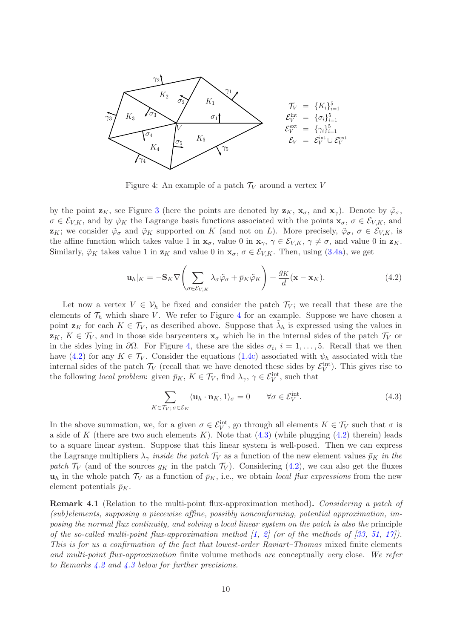

<span id="page-9-0"></span>Figure 4: An example of a patch  $\mathcal{T}_V$  around a vertex V

by the point  $\mathbf{z}_K$ , see Figure [3](#page-8-1) (here the points are denoted by  $\mathbf{z}_K$ ,  $\mathbf{x}_\sigma$ , and  $\mathbf{x}_\gamma$ ). Denote by  $\tilde{\varphi}_\sigma$ ,  $\sigma \in \mathcal{E}_{V,K}$ , and by  $\tilde{\varphi}_K$  the Lagrange basis functions associated with the points  $\mathbf{x}_{\sigma}, \sigma \in \mathcal{E}_{V,K}$ , and  $\mathbf{z}_K$ ; we consider  $\tilde{\varphi}_{\sigma}$  and  $\tilde{\varphi}_K$  supported on K (and not on L). More precisely,  $\tilde{\varphi}_{\sigma}$ ,  $\sigma \in \mathcal{E}_{V,K}$ , is the affine function which takes value 1 in  $\mathbf{x}_{\sigma}$ , value 0 in  $\mathbf{x}_{\gamma}$ ,  $\gamma \in \mathcal{E}_{V,K}$ ,  $\gamma \neq \sigma$ , and value 0 in  $\mathbf{z}_K$ . Similarly,  $\tilde{\varphi}_K$  takes value 1 in  $\mathbf{z}_K$  and value 0 in  $\mathbf{x}_{\sigma}$ ,  $\sigma \in \mathcal{E}_{V,K}$ . Then, using [\(3.4a\)](#page-6-4), we get

<span id="page-9-1"></span>
$$
\mathbf{u}_h|_K = -\mathbf{S}_K \nabla \left( \sum_{\sigma \in \mathcal{E}_{V,K}} \lambda_\sigma \tilde{\varphi}_\sigma + \bar{p}_K \tilde{\varphi}_K \right) + \frac{g_K}{d} (\mathbf{x} - \mathbf{x}_K). \tag{4.2}
$$

Let now a vertex  $V \in V_h$  be fixed and consider the patch  $\mathcal{T}_V$ ; we recall that these are the elements of  $\mathcal{T}_h$  which share V. We refer to Figure [4](#page-9-0) for an example. Suppose we have chosen a point  $\mathbf{z}_K$  for each  $K \in \mathcal{T}_V$ , as described above. Suppose that  $\tilde{\lambda}_h$  is expressed using the values in  $z_K$ ,  $K \in \mathcal{T}_V$ , and in those side barycenters  $x_\sigma$  which lie in the internal sides of the patch  $\mathcal{T}_V$  or in the sides lying in  $\partial\Omega$ . For Figure [4,](#page-9-0) these are the sides  $\sigma_i$ ,  $i = 1, \ldots, 5$ . Recall that we then have [\(4.2\)](#page-9-1) for any  $K \in \mathcal{T}_V$ . Consider the equations [\(1.4c\)](#page-1-4) associated with  $\psi_h$  associated with the internal sides of the patch  $\mathcal{T}_V$  (recall that we have denoted these sides by  $\mathcal{E}_V^{\text{int}}$ ). This gives rise to the following *local problem*: given  $\bar{p}_K$ ,  $K \in \mathcal{T}_V$ , find  $\lambda_\gamma$ ,  $\gamma \in \mathcal{E}_V^{\text{int}}$ , such that

<span id="page-9-2"></span>
$$
\sum_{K \in \mathcal{T}_V; \sigma \in \mathcal{E}_K} \langle \mathbf{u}_h \cdot \mathbf{n}_K, 1 \rangle_{\sigma} = 0 \qquad \forall \sigma \in \mathcal{E}_V^{\text{int}}.\tag{4.3}
$$

In the above summation, we, for a given  $\sigma \in \mathcal{E}_V^{\text{int}}$ , go through all elements  $K \in \mathcal{T}_V$  such that  $\sigma$  is a side of K (there are two such elements K). Note that  $(4.3)$  (while plugging  $(4.2)$  therein) leads to a square linear system. Suppose that this linear system is well-posed. Then we can express the Lagrange multipliers  $\lambda_{\gamma}$  inside the patch  $\mathcal{T}_V$  as a function of the new element values  $\bar{p}_K$  in the patch  $\mathcal{T}_V$  (and of the sources  $g_K$  in the patch  $\mathcal{T}_V$ ). Considering [\(4.2\)](#page-9-1), we can also get the fluxes  $u_h$  in the whole patch  $\mathcal{T}_V$  as a function of  $\bar{p}_K$ , i.e., we obtain local flux expressions from the new element potentials  $\bar{p}_K$ .

Remark 4.1 (Relation to the multi-point flux-approximation method). Considering a patch of (sub)elements, supposing a piecewise affine, possibly nonconforming, potential approximation, imposing the normal flux continuity, and solving a local linear system on the patch is also the principle of the so-called multi-point flux-approximation method  $\begin{bmatrix} 1, & 2 \end{bmatrix}$  (or of the methods of  $\begin{bmatrix} 33, & 51, & 17 \end{bmatrix}$  $\begin{bmatrix} 33, & 51, & 17 \end{bmatrix}$  $\begin{bmatrix} 33, & 51, & 17 \end{bmatrix}$ ). This is for us a confirmation of the fact that lowest-order Raviart–Thomas mixed finite elements and multi-point flux-approximation finite volume methods are conceptually very close. We refer to Remarks [4.2](#page-10-0) and [4.3](#page-13-1) below for further precisions.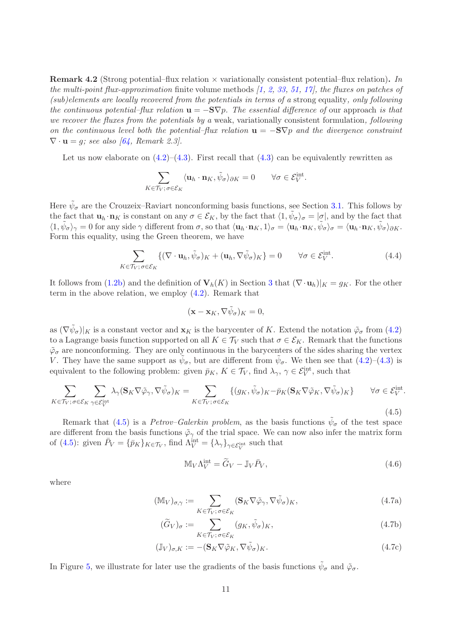<span id="page-10-0"></span>**Remark 4.2** (Strong potential–flux relation  $\times$  variationally consistent potential–flux relation). In the multi-point flux-approximation finite volume methods  $(1, 2, 33, 51, 17)$  $(1, 2, 33, 51, 17)$  $(1, 2, 33, 51, 17)$  $(1, 2, 33, 51, 17)$  $(1, 2, 33, 51, 17)$  $(1, 2, 33, 51, 17)$  $(1, 2, 33, 51, 17)$ , the fluxes on patches of (sub)elements are locally recovered from the potentials in terms of a strong equality, only following the continuous potential–flux relation  $\mathbf{u} = -\mathbf{S}\nabla p$ . The essential difference of our approach is that we recover the fluxes from the potentials by a weak, variationally consistent formulation, following on the continuous level both the potential–flux relation  $\mathbf{u} = -\mathbf{S}\nabla p$  and the divergence constraint  $\nabla \cdot \mathbf{u} = q$ ; see also [\[64,](#page-30-5) Remark 2.3].

Let us now elaborate on  $(4.2)$ – $(4.3)$ . First recall that  $(4.3)$  can be equivalently rewritten as

$$
\sum_{K \in \mathcal{T}_V; \sigma \in \mathcal{E}_K} \langle \mathbf{u}_h \cdot \mathbf{n}_K, \tilde{\psi}_\sigma \rangle_{\partial K} = 0 \qquad \forall \sigma \in \mathcal{E}_V^{\text{int}}.
$$

Here  $\tilde{\psi}_{\sigma}$  are the Crouzeix–Raviart nonconforming basis functions, see Section [3.1.](#page-6-0) This follows by the fact that  $\mathbf{u}_h \cdot \mathbf{n}_K$  is constant on any  $\sigma \in \mathcal{E}_K$ , by the fact that  $\langle 1, \tilde{\psi}_\sigma \rangle_\sigma = |\sigma|$ , and by the fact that  $\langle 1, \tilde{\psi}_{\sigma} \rangle_{\gamma} = 0$  for any side  $\gamma$  different from  $\sigma$ , so that  $\langle \mathbf{u}_h \cdot \mathbf{n}_K, 1 \rangle_{\sigma} = \langle \mathbf{u}_h \cdot \mathbf{n}_K, \tilde{\psi}_{\sigma} \rangle_{\sigma} = \langle \mathbf{u}_h \cdot \mathbf{n}_K, \tilde{\psi}_{\sigma} \rangle_{\partial K}$ . Form this equality, using the Green theorem, we have

<span id="page-10-4"></span>
$$
\sum_{K \in \mathcal{T}_V; \sigma \in \mathcal{E}_K} \{ (\nabla \cdot \mathbf{u}_h, \tilde{\psi}_{\sigma})_K + (\mathbf{u}_h, \nabla \tilde{\psi}_{\sigma})_K \} = 0 \qquad \forall \sigma \in \mathcal{E}_V^{\text{int}}.
$$
\n(4.4)

It follows from [\(1.2b\)](#page-1-1) and the definition of  $V_h(K)$  in Section [3](#page-5-1) that  $(\nabla \cdot \mathbf{u}_h)|_K = g_K$ . For the other term in the above relation, we employ [\(4.2\)](#page-9-1). Remark that

$$
({\bf x}-{\bf x}_K,\nabla\tilde{\psi}_\sigma)_K=0,
$$

as  $(\nabla \tilde{\psi}_{\sigma})|_K$  is a constant vector and  $\mathbf{x}_K$  is the barycenter of K. Extend the notation  $\tilde{\varphi}_{\sigma}$  from  $(4.2)$ to a Lagrange basis function supported on all  $K \in \mathcal{T}_V$  such that  $\sigma \in \mathcal{E}_K$ . Remark that the functions  $\tilde{\varphi}_{\sigma}$  are nonconforming. They are only continuous in the barycenters of the sides sharing the vertex V. They have the same support as  $\tilde{\psi}_{\sigma}$ , but are different from  $\tilde{\psi}_{\sigma}$ . We then see that [\(4.2\)](#page-9-1)–[\(4.3\)](#page-9-2) is equivalent to the following problem: given  $\bar{p}_K$ ,  $K \in \mathcal{T}_V$ , find  $\lambda_\gamma$ ,  $\gamma \in \mathcal{E}_V^{\text{int}}$ , such that

<span id="page-10-1"></span>
$$
\sum_{K \in \mathcal{T}_V; \sigma \in \mathcal{E}_K} \sum_{\gamma \in \mathcal{E}_V^{\text{int}}} \lambda_{\gamma} (\mathbf{S}_K \nabla \tilde{\varphi}_{\gamma}, \nabla \tilde{\psi}_{\sigma})_K = \sum_{K \in \mathcal{T}_V; \sigma \in \mathcal{E}_K} \{ (g_K, \tilde{\psi}_{\sigma})_K - \bar{p}_K (\mathbf{S}_K \nabla \tilde{\varphi}_K, \nabla \tilde{\psi}_{\sigma})_K \} \qquad \forall \sigma \in \mathcal{E}_V^{\text{int}}.
$$
\n(4.5)

Remark that [\(4.5\)](#page-10-1) is a *Petrov–Galerkin problem*, as the basis functions  $\tilde{\psi}_{\sigma}$  of the test space are different from the basis functions  $\tilde{\varphi}_{\gamma}$  of the trial space. We can now also infer the matrix form of [\(4.5\)](#page-10-1): given  $\bar{P}_V = \{\bar{p}_K\}_{K \in \mathcal{T}_V}$ , find  $\Lambda_V^{\text{int}} = \{\lambda_\gamma\}_{\gamma \in \mathcal{E}_V^{\text{int}}}$  such that

<span id="page-10-3"></span><span id="page-10-2"></span>
$$
\mathbb{M}_V \Lambda_V^{\text{int}} = \widetilde{G}_V - \mathbb{J}_V \bar{P}_V,\tag{4.6}
$$

where

$$
(\mathbb{M}_{V})_{\sigma,\gamma} := \sum_{K \in \mathcal{T}_{V}; \sigma \in \mathcal{E}_{K}} (\mathbf{S}_{K} \nabla \tilde{\varphi}_{\gamma}, \nabla \tilde{\psi}_{\sigma})_{K},
$$
\n(4.7a)

$$
(\widetilde{G}_V)_{\sigma} := \sum_{K \in \mathcal{T}_V; \,\sigma \in \mathcal{E}_K} (g_K, \tilde{\psi}_{\sigma})_K,\tag{4.7b}
$$

$$
(\mathbb{J}_V)_{\sigma,K} := -(\mathbf{S}_K \nabla \tilde{\varphi}_K, \nabla \tilde{\psi}_\sigma)_K. \tag{4.7c}
$$

In Figure [5,](#page-11-1) we illustrate for later use the gradients of the basis functions  $\tilde{\psi}_{\sigma}$  and  $\tilde{\varphi}_{\sigma}$ .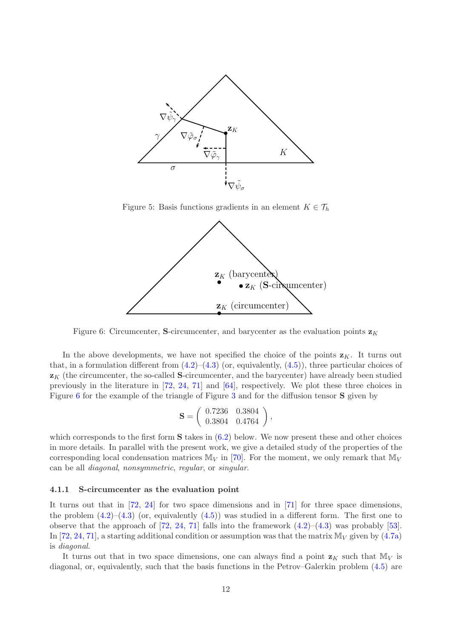

Figure 5: Basis functions gradients in an element  $K \in \mathcal{T}_h$ 

<span id="page-11-1"></span>

<span id="page-11-2"></span>Figure 6: Circumcenter, S-circumcenter, and barycenter as the evaluation points  $z<sub>K</sub>$ 

In the above developments, we have not specified the choice of the points  $z_K$ . It turns out that, in a formulation different from  $(4.2)$ – $(4.3)$  (or, equivalently,  $(4.5)$ ), three particular choices of  $\mathbf{z}_K$  (the circumcenter, the so-called S-circumcenter, and the barycenter) have already been studied previously in the literature in [\[72,](#page-30-3) [24,](#page-27-4) [71\]](#page-30-4) and [\[64\]](#page-30-5), respectively. We plot these three choices in Figure [6](#page-11-2) for the example of the triangle of Figure [3](#page-8-1) and for the diffusion tensor S given by

$$
\mathbf{S} = \left( \begin{array}{cc} 0.7236 & 0.3804 \\ 0.3804 & 0.4764 \end{array} \right),
$$

which corresponds to the first form  $S$  takes in  $(6.2)$  below. We now present these and other choices in more details. In parallel with the present work, we give a detailed study of the properties of the corresponding local condensation matrices  $M_V$  in [\[70\]](#page-30-7). For the moment, we only remark that  $M_V$ can be all diagonal, nonsymmetric, regular, or singular.

#### <span id="page-11-0"></span>4.1.1 S-circumcenter as the evaluation point

It turns out that in [\[72,](#page-30-3) [24\]](#page-27-4) for two space dimensions and in [\[71\]](#page-30-4) for three space dimensions, the problem  $(4.2)$ – $(4.3)$  (or, equivalently  $(4.5)$ ) was studied in a different form. The first one to observe that the approach of  $[72, 24, 71]$  $[72, 24, 71]$  $[72, 24, 71]$  $[72, 24, 71]$  falls into the framework  $(4.2)$ – $(4.3)$  was probably  $[53]$ . In [\[72,](#page-30-3) [24,](#page-27-4) [71\]](#page-30-4), a starting additional condition or assumption was that the matrix  $\mathbb{M}_V$  given by [\(4.7a\)](#page-10-2) is diagonal.

It turns out that in two space dimensions, one can always find a point  $z<sub>K</sub>$  such that  $\mathbb{M}_V$  is diagonal, or, equivalently, such that the basis functions in the Petrov–Galerkin problem [\(4.5\)](#page-10-1) are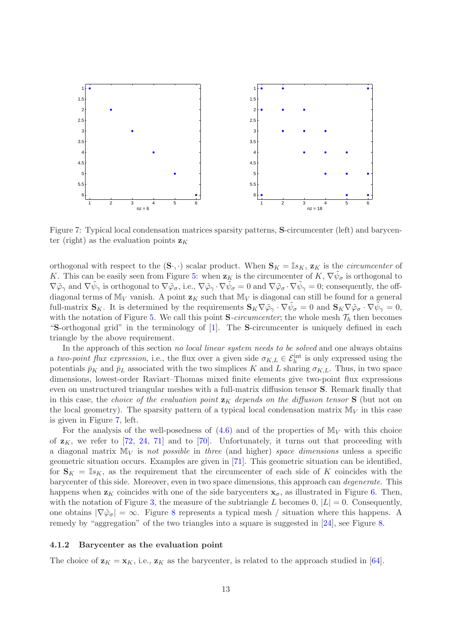

<span id="page-12-1"></span>Figure 7: Typical local condensation matrices sparsity patterns, S-circumcenter (left) and barycenter (right) as the evaluation points  $z_K$ 

orthogonal with respect to the  $(\mathbf{S}_{\cdot},\cdot)$  scalar product. When  $\mathbf{S}_K = \mathbb{I}_{sK}$ ,  $\mathbf{z}_K$  is the *circumcenter* of K. This can be easily seen from Figure [5:](#page-11-1) when  $\mathbf{z}_K$  is the circumcenter of  $K, \nabla \tilde{\psi}_{\sigma}$  is orthogonal to  $\nabla \tilde{\varphi}_{\gamma}$  and  $\nabla \tilde{\psi}_{\gamma}$  is orthogonal to  $\nabla \tilde{\varphi}_{\sigma}$ , i.e.,  $\nabla \tilde{\varphi}_{\gamma} \cdot \nabla \tilde{\psi}_{\sigma} = 0$  and  $\nabla \tilde{\varphi}_{\sigma} \cdot \nabla \tilde{\psi}_{\gamma} = 0$ ; consequently, the offdiagonal terms of  $M_V$  vanish. A point  $z_K$  such that  $M_V$  is diagonal can still be found for a general full-matrix  $\mathbf{S}_K$ . It is determined by the requirements  $\mathbf{S}_K \nabla \tilde{\varphi}_\gamma \cdot \nabla \tilde{\psi}_\sigma = 0$  and  $\mathbf{S}_K \nabla \tilde{\varphi}_\sigma \cdot \nabla \tilde{\psi}_\gamma = 0$ , with the notation of Figure [5.](#page-11-1) We call this point  $S$ -circumcenter; the whole mesh  $\mathcal{T}_h$  then becomes "S-orthogonal grid" in the terminology of [\[1\]](#page-26-2). The S-circumcenter is uniquely defined in each triangle by the above requirement.

In the approach of this section no local linear system needs to be solved and one always obtains a two-point flux expression, i.e., the flux over a given side  $\sigma_{K,L} \in \mathcal{E}_h^{\text{int}}$  is only expressed using the potentials  $\bar{p}_K$  and  $\bar{p}_L$  associated with the two simplices K and L sharing  $\sigma_{K,L}$ . Thus, in two space dimensions, lowest-order Raviart–Thomas mixed finite elements give two-point flux expressions even on unstructured triangular meshes with a full-matrix diffusion tensor S. Remark finally that in this case, the *choice of the evaluation point*  $z<sub>K</sub>$  depends on the diffusion tensor S (but not on the local geometry). The sparsity pattern of a typical local condensation matrix  $M_V$  in this case is given in Figure [7,](#page-12-1) left.

For the analysis of the well-posedness of  $(4.6)$  and of the properties of  $M_V$  with this choice of  $z_K$ , we refer to [\[72,](#page-30-3) [24,](#page-27-4) [71\]](#page-30-4) and to [\[70\]](#page-30-7). Unfortunately, it turns out that proceeding with a diagonal matrix  $M_V$  is not possible in three (and higher) space dimensions unless a specific geometric situation occurs. Examples are given in [\[71\]](#page-30-4). This geometric situation can be identified, for  $S_K = \mathbb{I}_{S_K}$ , as the requirement that the circumcenter of each side of K coincides with the barycenter of this side. Moreover, even in two space dimensions, this approach can degenerate. This happens when  $z_K$  coincides with one of the side barycenters  $x_{\sigma}$ , as illustrated in Figure [6.](#page-11-2) Then, with the notation of Figure [3,](#page-8-1) the measure of the subtriangle L becomes 0,  $|L| = 0$ . Consequently, one obtains  $|\nabla \tilde{\varphi}_{\sigma}| = \infty$ . Figure [8](#page-13-2) represents a typical mesh / situation where this happens. A remedy by "aggregation" of the two triangles into a square is suggested in [\[24\]](#page-27-4), see Figure [8.](#page-13-2)

#### <span id="page-12-0"></span>4.1.2 Barycenter as the evaluation point

The choice of  $\mathbf{z}_K = \mathbf{x}_K$ , i.e.,  $\mathbf{z}_K$  as the barycenter, is related to the approach studied in [\[64\]](#page-30-5).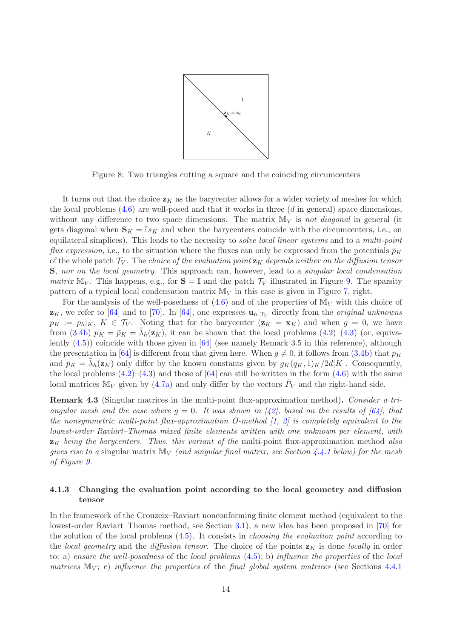

<span id="page-13-2"></span>Figure 8: Two triangles cutting a square and the coinciding circumcenters

It turns out that the choice  $z<sub>K</sub>$  as the barycenter allows for a wider variety of meshes for which the local problems  $(4.6)$  are well-posed and that it works in three  $(d \text{ in general})$  space dimensions, without any difference to two space dimensions. The matrix  $M_V$  is not diagonal in general (it gets diagonal when  $\mathbf{S}_K = \mathbb{I}s_K$  and when the barycenters coincide with the circumcenters, i.e., on equilateral simplices). This leads to the necessity to *solve local linear systems* and to a *multi-point flux expression*, i.e., to the situation where the fluxes can only be expressed from the potentials  $\bar{p}_K$ of the whole patch  $\mathcal{T}_V$ . The choice of the evaluation point  $\mathbf{z}_K$  depends neither on the diffusion tensor S, nor on the local geometry. This approach can, however, lead to a singular local condensation matrix  $\mathbb{M}_V$ . This happens, e.g., for  $\mathbf{S} = \mathbb{I}$  and the patch  $\mathcal{T}_V$  illustrated in Figure [9.](#page-14-1) The sparsity pattern of a typical local condensation matrix  $M_V$  in this case is given in Figure [7,](#page-12-1) right.

For the analysis of the well-posedness of  $(4.6)$  and of the properties of  $M_V$  with this choice of  $z_K$ , we refer to [\[64\]](#page-30-5) and to [\[70\]](#page-30-7). In [64], one expresses  $u_h|_{\tau_V}$  directly from the *original unknowns*  $p_K := p_h|_K$ ,  $K \in \mathcal{T}_V$ . Noting that for the barycenter  $(\mathbf{z}_K = \mathbf{x}_K)$  and when  $g = 0$ , we have from [\(3.4b\)](#page-6-5)  $p_K = \bar{p}_K = \tilde{\lambda}_h(\mathbf{z}_K)$ , it can be shown that the local problems [\(4.2\)](#page-9-1)–[\(4.3\)](#page-9-2) (or, equivalently  $(4.5)$ ) coincide with those given in [\[64\]](#page-30-5) (see namely Remark 3.5 in this reference), although the presentation in [\[64\]](#page-30-5) is different from that given here. When  $g \neq 0$ , it follows from [\(3.4b\)](#page-6-5) that  $p<sub>K</sub>$ and  $\bar{p}_K = \tilde{\lambda}_h(\mathbf{z}_K)$  only differ by the known constants given by  $g_K(q_K, 1)_K/2d|K|$ . Consequently, the local problems  $(4.2)$ – $(4.3)$  and those of  $[64]$  can still be written in the form  $(4.6)$  with the same local matrices  $M_V$  given by [\(4.7a\)](#page-10-2) and only differ by the vectors  $\bar{P}_V$  and the right-hand side.

<span id="page-13-1"></span>**Remark 4.3** (Singular matrices in the multi-point flux-approximation method). Consider a triangular mesh and the case where  $g = 0$ . It was shown in  $(42)$ , based on the results of  $(64)$ , that the nonsymmetric multi-point flux-approximation O-method  $[1, 2]$  $[1, 2]$  $[1, 2]$  is completely equivalent to the lowest-order Raviart–Thomas mixed finite elements written with one unknown per element, with  $z<sub>K</sub>$  being the barycenters. Thus, this variant of the multi-point flux-approximation method also gives rise to a singular matrix  $\mathbb{M}_V$  (and singular final matrix, see Section [4.4.1](#page-17-1) below) for the mesh of Figure [9.](#page-14-1)

## <span id="page-13-0"></span>4.1.3 Changing the evaluation point according to the local geometry and diffusion tensor

In the framework of the Crouzeix–Raviart nonconforming finite element method (equivalent to the lowest-order Raviart–Thomas method, see Section [3.1\)](#page-6-0), a new idea has been proposed in [\[70\]](#page-30-7) for the solution of the local problems [\(4.5\)](#page-10-1). It consists in choosing the evaluation point according to the local geometry and the diffusion tensor. The choice of the points  $z<sub>K</sub>$  is done locally in order to: a) ensure the well-posedness of the local problems  $(4.5)$ ; b) influence the properties of the local matrices  $\mathbb{M}_V$ ; c) influence the properties of the final global system matrices (see Sections [4.4.1](#page-17-1))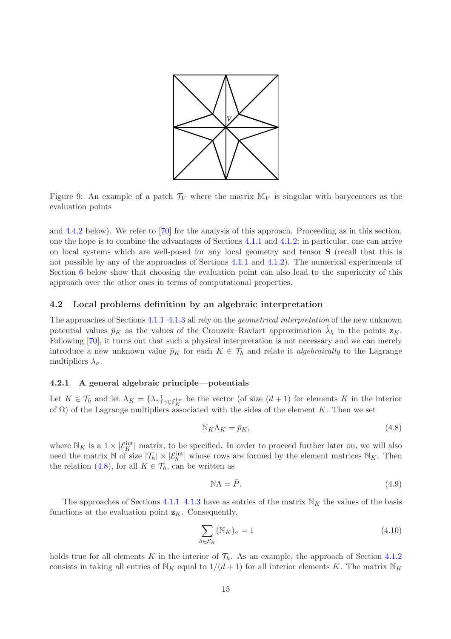

<span id="page-14-1"></span>Figure 9: An example of a patch  $\mathcal{T}_V$  where the matrix  $\mathbb{M}_V$  is singular with barycenters as the evaluation points

and [4.4.2](#page-18-2) below). We refer to [\[70\]](#page-30-7) for the analysis of this approach. Proceeding as in this section, one the hope is to combine the advantages of Sections [4.1.1](#page-11-0) and [4.1.2;](#page-12-0) in particular, one can arrive on local systems which are well-posed for any local geometry and tensor S (recall that this is not possible by any of the approaches of Sections [4.1.1](#page-11-0) and [4.1.2\)](#page-12-0). The numerical experiments of Section [6](#page-20-0) below show that choosing the evaluation point can also lead to the superiority of this approach over the other ones in terms of computational properties.

#### <span id="page-14-0"></span>4.2 Local problems definition by an algebraic interpretation

The approaches of Sections [4.1.1–](#page-11-0)[4.1.3](#page-13-0) all rely on the geometrical interpretation of the new unknown potential values  $\bar{p}_K$  as the values of the Crouzeix–Raviart approximation  $\tilde{\lambda}_h$  in the points  $\mathbf{z}_K$ . Following [\[70\]](#page-30-7), it turns out that such a physical interpretation is not necessary and we can merely introduce a new unknown value  $\bar{p}_K$  for each  $K \in \mathcal{T}_h$  and relate it *algebraically* to the Lagrange multipliers  $\lambda_{\sigma}$ .

#### <span id="page-14-4"></span>4.2.1 A general algebraic principle—potentials

Let  $K \in \mathcal{T}_h$  and let  $\Lambda_K = {\lambda_{\gamma}}_{\gamma \in \mathcal{E}_K^{\text{int}}}$  be the vector (of size  $(d+1)$  for elements K in the interior of  $\Omega$ ) of the Lagrange multipliers associated with the sides of the element K. Then we set

<span id="page-14-2"></span>
$$
\mathbb{N}_K \Lambda_K = \bar{p}_K,\tag{4.8}
$$

where  $\mathbb{N}_K$  is a  $1 \times |\mathcal{E}_K^{\text{int}}|$  matrix, to be specified. In order to proceed further later on, we will also need the matrix N of size  $|\mathcal{T}_h| \times |\mathcal{E}_h^{\text{int}}|$  whose rows are formed by the element matrices  $\mathbb{N}_K$ . Then the relation [\(4.8\)](#page-14-2), for all  $K \in \mathcal{T}_h$ , can be written as

<span id="page-14-5"></span>
$$
\mathbb{N}\Lambda = \bar{P}.\tag{4.9}
$$

The approaches of Sections [4.1.1](#page-11-0)[–4.1.3](#page-13-0) have as entries of the matrix  $N_K$  the values of the basis functions at the evaluation point  $z_K$ . Consequently,

<span id="page-14-3"></span>
$$
\sum_{\sigma \in \mathcal{E}_K} (\mathbb{N}_K)_{\sigma} = 1 \tag{4.10}
$$

holds true for all elements K in the interior of  $\mathcal{T}_h$ . As an example, the approach of Section [4.1.2](#page-12-0) consists in taking all entries of  $\mathbb{N}_K$  equal to  $1/(d+1)$  for all interior elements K. The matrix  $\mathbb{N}_K$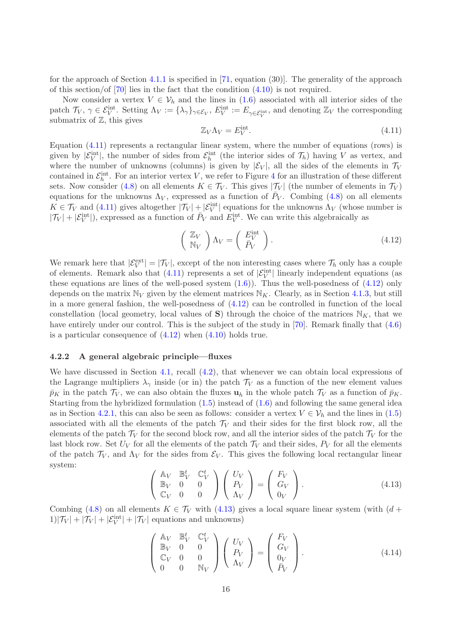for the approach of Section [4.1.1](#page-11-0) is specified in [\[71,](#page-30-4) equation (30)]. The generality of the approach of this section/of [\[70\]](#page-30-7) lies in the fact that the condition [\(4.10\)](#page-14-3) is not required.

Now consider a vertex  $V \in V_h$  and the lines in [\(1.6\)](#page-2-4) associated with all interior sides of the patch  $\mathcal{T}_V, \gamma \in \mathcal{E}_V^{\text{int}}$ . Setting  $\Lambda_V := {\lambda_\gamma}_{\gamma \in \mathcal{E}_V}, E_V^{\text{int}} := E_{\gamma \in \mathcal{E}_V^{\text{int}}},$  and denoting  $\mathbb{Z}_V$  the corresponding submatrix of  $\mathbb{Z}$ , this gives

<span id="page-15-0"></span>
$$
\mathbb{Z}_V \Lambda_V = E_V^{\text{int}}.\tag{4.11}
$$

Equation [\(4.11\)](#page-15-0) represents a rectangular linear system, where the number of equations (rows) is given by  $|\mathcal{E}_V^{\text{int}}|$ , the number of sides from  $\mathcal{E}_h^{\text{int}}$  (the interior sides of  $\mathcal{T}_h$ ) having V as vertex, and where the number of unknowns (columns) is given by  $|\mathcal{E}_V|$ , all the sides of the elements in  $\mathcal{T}_V$ contained in  $\mathcal{E}_h^{\text{int}}$ . For an interior vertex V, we refer to Figure [4](#page-9-0) for an illustration of these different sets. Now consider [\(4.8\)](#page-14-2) on all elements  $K \in \mathcal{T}_V$ . This gives  $|\mathcal{T}_V|$  (the number of elements in  $\mathcal{T}_V$ ) equations for the unknowns  $\Lambda_V$ , expressed as a function of  $\bar{P}_V$ . Combing [\(4.8\)](#page-14-2) on all elements  $K \in \mathcal{T}_V$  and [\(4.11\)](#page-15-0) gives altogether  $|\mathcal{T}_V| + |\mathcal{E}_V^{\text{int}}|$  equations for the unknowns  $\Lambda_V$  (whose number is  $|\mathcal{T}_V| + |\mathcal{E}_V^{\text{int}}|$ , expressed as a function of  $\bar{P}_V$  and  $E_V^{\text{int}}$ . We can write this algebraically as

<span id="page-15-1"></span>
$$
\begin{pmatrix} \mathbb{Z}_V \\ \mathbb{N}_V \end{pmatrix} \Lambda_V = \begin{pmatrix} E_V^{\text{int}} \\ \bar{P}_V \end{pmatrix} . \tag{4.12}
$$

We remark here that  $|\mathcal{E}_V^{\text{ext}}| = |\mathcal{T}_V|$ , except of the non interesting cases where  $\mathcal{T}_h$  only has a couple of elements. Remark also that  $(4.11)$  represents a set of  $|\mathcal{E}_V^{\text{int}}|$  linearly independent equations (as these equations are lines of the well-posed system  $(1.6)$ ). Thus the well-posedness of  $(4.12)$  only depends on the matrix  $\mathbb{N}_V$  given by the element matrices  $\mathbb{N}_K$ . Clearly, as in Section [4.1.3,](#page-13-0) but still in a more general fashion, the well-posedness of [\(4.12\)](#page-15-1) can be controlled in function of the local constellation (local geometry, local values of S) through the choice of the matrices  $N_K$ , that we have entirely under our control. This is the subject of the study in [\[70\]](#page-30-7). Remark finally that  $(4.6)$ is a particular consequence of  $(4.12)$  when  $(4.10)$  holds true.

#### <span id="page-15-4"></span>4.2.2 A general algebraic principle—fluxes

We have discussed in Section [4.1,](#page-8-0) recall  $(4.2)$ , that whenever we can obtain local expressions of the Lagrange multipliers  $\lambda_{\gamma}$  inside (or in) the patch  $\mathcal{T}_V$  as a function of the new element values  $\bar{p}_K$  in the patch  $\mathcal{T}_V$ , we can also obtain the fluxes  $\mathbf{u}_h$  in the whole patch  $\mathcal{T}_V$  as a function of  $\bar{p}_K$ . Starting from the hybridized formulation  $(1.5)$  instead of  $(1.6)$  and following the same general idea as in Section [4.2.1,](#page-14-4) this can also be seen as follows: consider a vertex  $V \in \mathcal{V}_h$  and the lines in [\(1.5\)](#page-1-5) associated with all the elements of the patch  $\mathcal{T}_V$  and their sides for the first block row, all the elements of the patch  $\mathcal{T}_V$  for the second block row, and all the interior sides of the patch  $\mathcal{T}_V$  for the last block row. Set  $U_V$  for all the elements of the patch  $\mathcal{T}_V$  and their sides,  $P_V$  for all the elements of the patch  $\mathcal{T}_V$ , and  $\Lambda_V$  for the sides from  $\mathcal{E}_V$ . This gives the following local rectangular linear system:

<span id="page-15-2"></span>
$$
\begin{pmatrix}\n\mathbb{A}_V & \mathbb{B}_V^t & \mathbb{C}_V^t \\
\mathbb{B}_V & 0 & 0 \\
\mathbb{C}_V & 0 & 0\n\end{pmatrix}\n\begin{pmatrix}\nU_V \\
P_V \\
\Lambda_V\n\end{pmatrix} =\n\begin{pmatrix}\nF_V \\
G_V \\
0_V\n\end{pmatrix}.
$$
\n(4.13)

Combing [\(4.8\)](#page-14-2) on all elements  $K \in \mathcal{T}_V$  with [\(4.13\)](#page-15-2) gives a local square linear system (with  $(d +$  $1/|\mathcal{T}_V| + |\mathcal{T}_V| + |\mathcal{E}_V^{\text{int}}| + |\mathcal{T}_V|$  equations and unknowns)

<span id="page-15-3"></span>
$$
\begin{pmatrix}\n\mathbb{A}_{V} & \mathbb{B}_{V}^{t} & \mathbb{C}_{V}^{t} \\
\mathbb{B}_{V} & 0 & 0 \\
\mathbb{C}_{V} & 0 & 0 \\
0 & 0 & \mathbb{N}_{V}\n\end{pmatrix}\n\begin{pmatrix}\nU_{V} \\
P_{V} \\
\Lambda_{V}\n\end{pmatrix} = \begin{pmatrix}\nF_{V} \\
G_{V} \\
0_{V} \\
\bar{P}_{V}\n\end{pmatrix}.
$$
\n(4.14)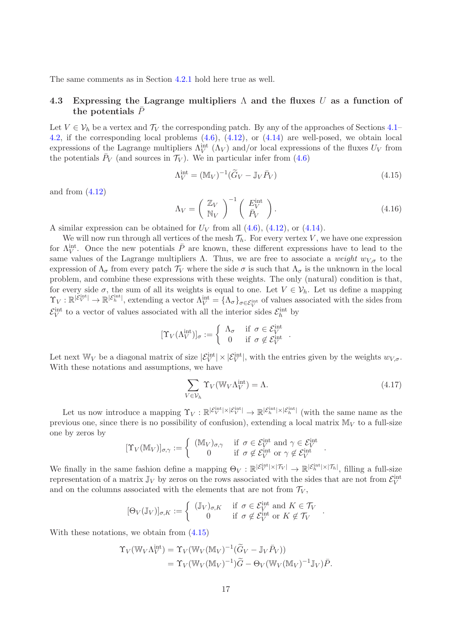<span id="page-16-0"></span>The same comments as in Section [4.2.1](#page-14-4) hold here true as well.

# 4.3 Expressing the Lagrange multipliers  $\Lambda$  and the fluxes U as a function of the potentials  $\bar{P}$

Let  $V \in \mathcal{V}_h$  be a vertex and  $\mathcal{T}_V$  the corresponding patch. By any of the approaches of Sections [4.1–](#page-8-0) [4.2,](#page-14-0) if the corresponding local problems [\(4.6\)](#page-10-3), [\(4.12\)](#page-15-1), or [\(4.14\)](#page-15-3) are well-posed, we obtain local expressions of the Lagrange multipliers  $\Lambda_V^{\text{int}}(\Lambda_V)$  and/or local expressions of the fluxes  $U_V$  from the potentials  $\bar{P}_V$  (and sources in  $\mathcal{T}_V$ ). We in particular infer from [\(4.6\)](#page-10-3)

<span id="page-16-1"></span>
$$
\Lambda_V^{\text{int}} = (\mathbb{M}_V)^{-1} (\widetilde{G}_V - \mathbb{J}_V \bar{P}_V) \tag{4.15}
$$

and from  $(4.12)$ 

$$
\Lambda_V = \left(\begin{array}{c} \mathbb{Z}_V \\ \mathbb{N}_V \end{array}\right)^{-1} \left(\begin{array}{c} E_V^{\text{int}} \\ \bar{P}_V \end{array}\right). \tag{4.16}
$$

A similar expression can be obtained for  $U_V$  from all  $(4.6)$ ,  $(4.12)$ , or  $(4.14)$ .

We will now run through all vertices of the mesh  $\mathcal{T}_h$ . For every vertex V, we have one expression for  $\Lambda_V^{\text{int}}$ . Once the new potentials  $\overline{P}$  are known, these different expressions have to lead to the same values of the Lagrange multipliers  $\Lambda$ . Thus, we are free to associate a weight  $w_{V,\sigma}$  to the expression of  $\Lambda_{\sigma}$  from every patch  $\mathcal{T}_V$  where the side  $\sigma$  is such that  $\Lambda_{\sigma}$  is the unknown in the local problem, and combine these expressions with these weights. The only (natural) condition is that, for every side  $\sigma$ , the sum of all its weights is equal to one. Let  $V \in \mathcal{V}_h$ . Let us define a mapping  $\Upsilon_V : \mathbb{R}^{|\mathcal{E}_V^{\text{int}}|} \to \mathbb{R}^{|\mathcal{E}_h^{\text{int}}|}$ , extending a vector  $\Lambda_V^{\text{int}} = {\Lambda_\sigma}_{\sigma \in \mathcal{E}_V^{\text{int}}}$  of values associated with the sides from  $\mathcal{E}_V^{\text{int}}$  to a vector of values associated with all the interior sides  $\mathcal{E}_h^{\text{int}}$  by

$$
[\Upsilon_V(\Lambda_V^{\rm int})]_\sigma := \left\{ \begin{array}{ll} \Lambda_\sigma & \text{if } \sigma \in \mathcal{E}_V^{\rm int} \\ 0 & \text{if } \sigma \notin \mathcal{E}_V^{\rm int} \end{array} \right..
$$

Let next  $\mathbb{W}_V$  be a diagonal matrix of size  $|\mathcal{E}_V^{\text{int}}| \times |\mathcal{E}_V^{\text{int}}|$ , with the entries given by the weights  $w_{V,\sigma}$ . With these notations and assumptions, we have

<span id="page-16-2"></span>
$$
\sum_{V \in \mathcal{V}_h} \Upsilon_V(\mathbb{W}_V \Lambda_V^{\text{int}}) = \Lambda. \tag{4.17}
$$

.

.

Let us now introduce a mapping  $\Upsilon_V : \mathbb{R}^{|\mathcal{E}_V^{\text{int}}| \times |\mathcal{E}_V^{\text{int}}|} \to \mathbb{R}^{|\mathcal{E}_h^{\text{int}}| \times |\mathcal{E}_h^{\text{int}}|}$  (with the same name as the previous one, since there is no possibility of confusion), extending a local matrix  $\mathbb{M}_V$  to a full-size one by zeros by

$$
[\Upsilon_V(\mathbb{M}_V)]_{\sigma,\gamma} := \begin{cases} (\mathbb{M}_V)_{\sigma,\gamma} & \text{if } \sigma \in \mathcal{E}_V^{\text{int}} \text{ and } \gamma \in \mathcal{E}_V^{\text{int}} \\ 0 & \text{if } \sigma \notin \mathcal{E}_V^{\text{int}} \text{ or } \gamma \notin \mathcal{E}_V^{\text{int}} \end{cases}
$$

We finally in the same fashion define a mapping  $\Theta_V : \mathbb{R}^{|\mathcal{E}_V^{\text{int}}| \times |\mathcal{T}_V|} \to \mathbb{R}^{|\mathcal{E}_h^{\text{int}}| \times |\mathcal{T}_h|}$ , filling a full-size representation of a matrix  $\mathbb{J}_V$  by zeros on the rows associated with the sides that are not from  $\mathcal{E}_V^{\text{int}}$ and on the columns associated with the elements that are not from  $\mathcal{T}_V$ ,

$$
[\Theta_V(\mathbb{J}_V)]_{\sigma,K} := \begin{cases} (\mathbb{J}_V)_{\sigma,K} & \text{if } \sigma \in \mathcal{E}_V^{\text{int}} \text{ and } K \in \mathcal{T}_V \\ 0 & \text{if } \sigma \notin \mathcal{E}_V^{\text{int}} \text{ or } K \notin \mathcal{T}_V \end{cases}
$$

With these notations, we obtain from [\(4.15\)](#page-16-1)

$$
\begin{split} \Upsilon_V(\mathbb{W}_V \Lambda_V^{\text{int}}) &= \Upsilon_V(\mathbb{W}_V (\mathbb{M}_V)^{-1} (\widetilde{G}_V - \mathbb{J}_V \bar{P}_V)) \\ &= \Upsilon_V(\mathbb{W}_V (\mathbb{M}_V)^{-1}) \widetilde{G} - \Theta_V(\mathbb{W}_V (\mathbb{M}_V)^{-1} \mathbb{J}_V) \bar{P}. \end{split}
$$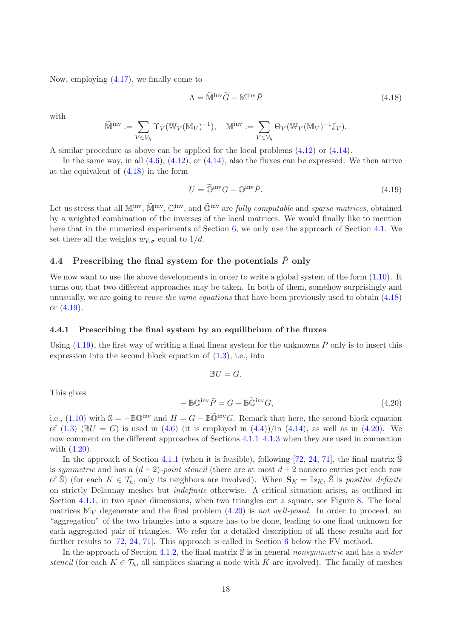Now, employing [\(4.17\)](#page-16-2), we finally come to

<span id="page-17-2"></span>
$$
\Lambda = \widetilde{\mathbb{M}}^{\text{inv}} \widetilde{G} - \mathbb{M}^{\text{inv}} \bar{P}
$$
\n(4.18)

with

$$
\widetilde{\mathbb{M}}^{\mathrm{inv}}:=\sum_{V\in\mathcal{V}_h}\Upsilon_V(\mathbb{W}_V(\mathbb{M}_V)^{-1}),\quad \mathbb{M}^{\mathrm{inv}}:=\sum_{V\in\mathcal{V}_h}\Theta_V(\mathbb{W}_V(\mathbb{M}_V)^{-1}\mathbb{J}_V).
$$

A similar procedure as above can be applied for the local problems [\(4.12\)](#page-15-1) or [\(4.14\)](#page-15-3).

In the same way, in all  $(4.6)$ ,  $(4.12)$ , or  $(4.14)$ , also the fluxes can be expressed. We then arrive at the equivalent of [\(4.18\)](#page-17-2) in the form

<span id="page-17-3"></span>
$$
U = \widetilde{\mathbb{Q}}^{\text{inv}} G - \mathbb{Q}^{\text{inv}} \bar{P}.\tag{4.19}
$$

Let us stress that all  $M<sup>inv</sup>$ ,  $\tilde{M}<sup>inv</sup>$ ,  $\tilde{Q}<sup>inv</sup>$ , and  $\tilde{Q}<sup>inv</sup>$  are *fully computable* and *sparse matrices*, obtained by a weighted combination of the inverses of the local matrices. We would finally like to mention here that in the numerical experiments of Section [6,](#page-20-0) we only use the approach of Section [4.1.](#page-8-0) We set there all the weights  $w_{V,\sigma}$  equal to  $1/d$ .

# <span id="page-17-0"></span>4.4 Prescribing the final system for the potentials  $\bar{P}$  only

We now want to use the above developments in order to write a global system of the form  $(1.10)$ . It turns out that two different approaches may be taken. In both of them, somehow surprisingly and unusually, we are going to *reuse the same equations* that have been previously used to obtain  $(4.18)$ or  $(4.19)$ .

#### <span id="page-17-1"></span>4.4.1 Prescribing the final system by an equilibrium of the fluxes

Using [\(4.19\)](#page-17-3), the first way of writing a final linear system for the unknowns  $\bar{P}$  only is to insert this expression into the second block equation of [\(1.3\)](#page-1-2), i.e., into

$$
\mathbb{B} U=G.
$$

This gives

<span id="page-17-4"></span>
$$
-\mathbb{BO}^{\text{inv}}\bar{P} = G - \mathbb{B}\widetilde{\mathbb{O}}^{\text{inv}}G,\tag{4.20}
$$

i.e., [\(1.10\)](#page-3-1) with  $\bar{S} = -\mathbb{B}\mathbb{O}^{\text{inv}}$  and  $\bar{H} = G - \mathbb{B}\widetilde{\mathbb{O}}^{\text{inv}}G$ . Remark that here, the second block equation of  $(1.3)$  ( $\mathbb{B}U = G$ ) is used in  $(4.6)$  (it is employed in  $(4.4)$ )/in  $(4.14)$ , as well as in  $(4.20)$ . We now comment on the different approaches of Sections [4.1.1–](#page-11-0)[4.1.3](#page-13-0) when they are used in connection with [\(4.20\)](#page-17-4).

In the approach of Section [4.1.1](#page-11-0) (when it is feasible), following [\[72,](#page-30-3) [24,](#page-27-4) [71\]](#page-30-4), the final matrix  $\mathbb S$ is symmetric and has a  $(d+2)$ -point stencil (there are at most  $d+2$  nonzero entries per each row of  $\overline{S}$ ) (for each  $K \in \mathcal{T}_h$ , only its neighbors are involved). When  $\mathbf{S}_K = \mathbb{I}s_K$ ,  $\overline{S}$  is positive definite on strictly Delaunay meshes but indefinite otherwise. A critical situation arises, as outlined in Section [4.1.1,](#page-11-0) in two space dimensions, when two triangles cut a square, see Figure [8.](#page-13-2) The local matrices  $M_V$  degenerate and the final problem [\(4.20\)](#page-17-4) is not well-posed. In order to proceed, an "aggregation" of the two triangles into a square has to be done, leading to one final unknown for each aggregated pair of triangles. We refer for a detailed description of all these results and for further results to [\[72,](#page-30-3) [24,](#page-27-4) [71\]](#page-30-4). This approach is called in Section [6](#page-20-0) below the FV method.

In the approach of Section [4.1.2,](#page-12-0) the final matrix  $\overline{S}$  is in general nonsymmetric and has a wider stencil (for each  $K \in \mathcal{T}_h$ , all simplices sharing a node with K are involved). The family of meshes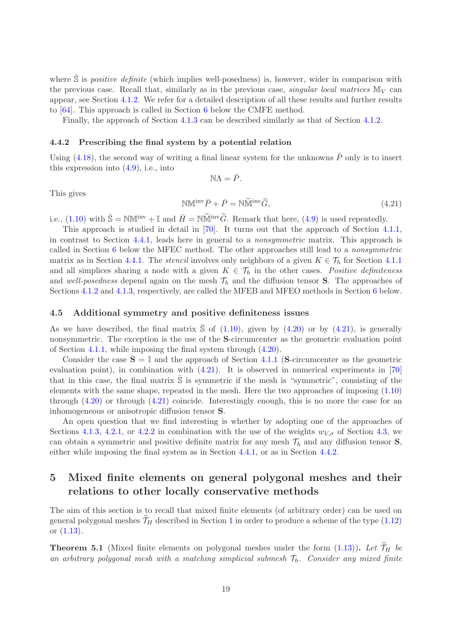where  $S$  is *positive definite* (which implies well-posedness) is, however, wider in comparison with the previous case. Recall that, similarly as in the previous case, singular local matrices  $\mathbb{M}_V$  can appear, see Section [4.1.2.](#page-12-0) We refer for a detailed description of all these results and further results to [\[64\]](#page-30-5). This approach is called in Section [6](#page-20-0) below the CMFE method.

Finally, the approach of Section [4.1.3](#page-13-0) can be described similarly as that of Section [4.1.2.](#page-12-0)

#### <span id="page-18-2"></span>4.4.2 Prescribing the final system by a potential relation

Using [\(4.18\)](#page-17-2), the second way of writing a final linear system for the unknowns  $\bar{P}$  only is to insert this expression into [\(4.9\)](#page-14-5), i.e., into

 $NA = \overline{P}$ .

This gives

<span id="page-18-3"></span>
$$
\mathbb{NM}^{\text{inv}}\bar{P} + \bar{P} = \mathbb{N}\widetilde{\mathbb{M}}^{\text{inv}}\widetilde{G},\tag{4.21}
$$

i.e., [\(1.10\)](#page-3-1) with  $\bar{S} = NM^{\text{inv}} + \mathbb{I}$  and  $\bar{H} = N\widetilde{M}^{\text{inv}}\widetilde{G}$ . Remark that here, [\(4.9\)](#page-14-5) is used repeatedly.

This approach is studied in detail in [\[70\]](#page-30-7). It turns out that the approach of Section [4.1.1,](#page-11-0) in contrast to Section [4.4.1,](#page-17-1) leads here in general to a nonsymmetric matrix. This approach is called in Section [6](#page-20-0) below the MFEC method. The other approaches still lead to a nonsymmetric matrix as in Section [4.4.1.](#page-17-1) The *stencil* involves only neighbors of a given  $K \in \mathcal{T}_h$  for Section [4.1.1](#page-11-0) and all simplices sharing a node with a given  $K \in \mathcal{T}_h$  in the other cases. Positive definiteness and well-posedness depend again on the mesh  $\mathcal{T}_h$  and the diffusion tensor **S**. The approaches of Sections [4.1.2](#page-12-0) and [4.1.3,](#page-13-0) respectively, are called the MFEB and MFEO methods in Section [6](#page-20-0) below.

#### <span id="page-18-1"></span>4.5 Additional symmetry and positive definiteness issues

As we have described, the final matrix  $\overline{S}$  of [\(1.10\)](#page-3-1), given by [\(4.20\)](#page-17-4) or by [\(4.21\)](#page-18-3), is generally nonsymmetric. The exception is the use of the S-circumcenter as the geometric evaluation point of Section [4.1.1,](#page-11-0) while imposing the final system through [\(4.20\)](#page-17-4).

Consider the case  $S = \mathbb{I}$  and the approach of Section [4.1.1](#page-11-0) (S-circumcenter as the geometric evaluation point), in combination with  $(4.21)$ . It is observed in numerical experiments in [\[70\]](#page-30-7) that in this case, the final matrix  $\overline{S}$  is symmetric if the mesh is "symmetric", consisting of the elements with the same shape, repeated in the mesh. Here the two approaches of imposing [\(1.10\)](#page-3-1) through [\(4.20\)](#page-17-4) or through [\(4.21\)](#page-18-3) coincide. Interestingly enough, this is no more the case for an inhomogeneous or anisotropic diffusion tensor S.

An open question that we find interesting is whether by adopting one of the approaches of Sections [4.1.3,](#page-13-0) [4.2.1,](#page-14-4) or [4.2.2](#page-15-4) in combination with the use of the weights  $w_{V,\sigma}$  of Section [4.3,](#page-16-0) we can obtain a symmetric and positive definite matrix for any mesh  $\mathcal{T}_h$  and any diffusion tensor **S**, either while imposing the final system as in Section [4.4.1,](#page-17-1) or as in Section [4.4.2.](#page-18-2)

# <span id="page-18-0"></span>5 Mixed finite elements on general polygonal meshes and their relations to other locally conservative methods

The aim of this section is to recall that mixed finite elements (of arbitrary order) can be used on general polygonal meshes  $\widehat{T}_H$  described in Section [1](#page-0-2) in order to produce a scheme of the type [\(1.12\)](#page-4-0) or [\(1.13\)](#page-4-1).

<span id="page-18-4"></span>**Theorem 5.1** (Mixed finite elements on polygonal meshes under the form [\(1.13\)](#page-4-1)). Let  $\widehat{\mathcal{T}}_H$  be an arbitrary polygonal mesh with a matching simplicial submesh  $\mathcal{T}_h$ . Consider any mixed finite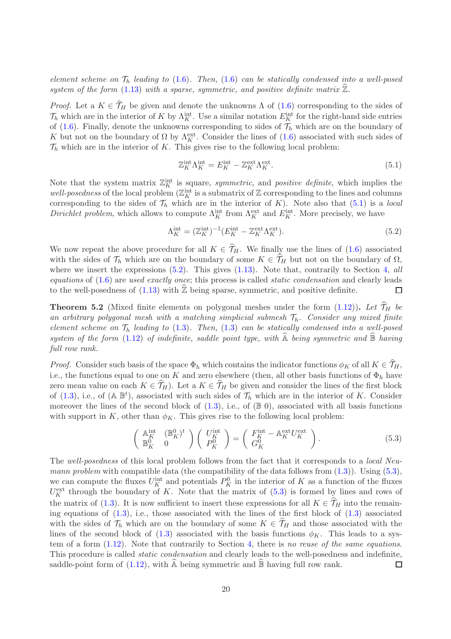element scheme on  $\mathcal{T}_h$  leading to [\(1.6\)](#page-2-4). Then, (1.6) can be statically condensed into a well-posed system of the form [\(1.13\)](#page-4-1) with a sparse, symmetric, and positive definite matrix  $\hat{\mathbb{Z}}$ .

*Proof.* Let a  $K \in \hat{\mathcal{T}}_H$  be given and denote the unknowns  $\Lambda$  of [\(1.6\)](#page-2-4) corresponding to the sides of  $\mathcal{T}_h$  which are in the interior of K by  $\Lambda_K^{\text{int}}$ . Use a similar notation  $E_K^{\text{int}}$  for the right-hand side entries of [\(1.6\)](#page-2-4). Finally, denote the unknowns corresponding to sides of  $\mathcal{T}_h$  which are on the boundary of K but not on the boundary of  $\Omega$  by  $\Lambda_K^{\text{ext}}$ . Consider the lines of [\(1.6\)](#page-2-4) associated with such sides of  $\mathcal{T}_h$  which are in the interior of K. This gives rise to the following local problem:

<span id="page-19-0"></span>
$$
\mathbb{Z}_K^{\text{int}} \Lambda_K^{\text{int}} = E_K^{\text{int}} - \mathbb{Z}_K^{\text{ext}} \Lambda_K^{\text{ext}}.
$$
\n(5.1)

Note that the system matrix  $\mathbb{Z}_K^{\text{int}}$  is square, symmetric, and positive definite, which implies the well-posedness of the local problem  $(\mathbb{Z}_K^{\text{int}})$  is a submatrix of  $\mathbb Z$  corresponding to the lines and columns corresponding to the sides of  $\mathcal{T}_h$  which are in the interior of K). Note also that [\(5.1\)](#page-19-0) is a local Dirichlet problem, which allows to compute  $\Lambda_K^{\text{int}}$  from  $\Lambda_K^{\text{ext}}$  and  $E_K^{\text{int}}$ . More precisely, we have

<span id="page-19-1"></span>
$$
\Lambda_K^{\text{int}} = (\mathbb{Z}_K^{\text{int}})^{-1} (E_K^{\text{int}} - \mathbb{Z}_K^{\text{ext}} \Lambda_K^{\text{ext}}). \tag{5.2}
$$

We now repeat the above procedure for all  $K \in \hat{\mathcal{T}}_H$ . We finally use the lines of [\(1.6\)](#page-2-4) associated with the sides of  $\mathcal{T}_h$  which are on the boundary of some  $K \in \hat{\mathcal{T}}_H$  but not on the boundary of  $\Omega$ , where we insert the expressions  $(5.2)$ . This gives  $(1.13)$ . Note that, contrarily to Section [4,](#page-7-0) all equations of [\(1.6\)](#page-2-4) are used exactly once; this process is called static condensation and clearly leads to the well-posedness of  $(1.13)$  with  $\overline{\mathbb{Z}}$  being sparse, symmetric, and positive definite.  $\Box$ 

<span id="page-19-3"></span>**Theorem 5.2** (Mixed finite elements on polygonal meshes under the form  $(1.12)$ ). Let  $\widehat{\mathcal{T}}_H$  be an arbitrary polygonal mesh with a matching simplicial submesh  $\mathcal{T}_h$ . Consider any mixed finite element scheme on  $\mathcal{T}_h$  leading to [\(1.3\)](#page-1-2). Then, (1.3) can be statically condensed into a well-posed system of the form [\(1.12\)](#page-4-0) of indefinite, saddle point type, with  $\widehat{A}$  being symmetric and  $\widehat{B}$  having full row rank.

*Proof.* Consider such basis of the space  $\Phi_h$  which contains the indicator functions  $\phi_K$  of all  $K \in \hat{\mathcal{T}}_H$ , i.e., the functions equal to one on K and zero elsewhere (then, all other basis functions of  $\Phi_h$  have zero mean value on each  $K \in \widehat{\mathcal{T}}_H$ ). Let a  $K \in \widehat{\mathcal{T}}_H$  be given and consider the lines of the first block of [\(1.3\)](#page-1-2), i.e., of ( $\mathbb{A} \mathbb{B}^t$ ), associated with such sides of  $\mathcal{T}_h$  which are in the interior of K. Consider moreover the lines of the second block of  $(1.3)$ , i.e., of  $(\mathbb{B} 0)$ , associated with all basis functions with support in K, other than  $\phi_K$ . This gives rise to the following local problem:

<span id="page-19-2"></span>
$$
\begin{pmatrix}\n\mathbb{A}_{K}^{\text{int}} & (\mathbb{B}_{K}^{0})^{t} \\
\mathbb{B}_{K}^{0} & 0\n\end{pmatrix}\n\begin{pmatrix}\nU_{K}^{\text{int}} \\
P_{K}^{0}\n\end{pmatrix} =\n\begin{pmatrix}\nF_{K}^{\text{int}} - \mathbb{A}_{K}^{\text{ext}} U_{K}^{\text{ext}} \\
G_{K}^{0}\n\end{pmatrix}.
$$
\n(5.3)

The well-posedness of this local problem follows from the fact that it corresponds to a *local Neu*mann problem with compatible data (the compatibility of the data follows from  $(1.3)$ ). Using  $(5.3)$ , we can compute the fluxes  $U_K^{\text{int}}$  and potentials  $P_K^0$  in the interior of K as a function of the fluxes  $U_K^{\text{ext}}$  through the boundary of K. Note that the matrix of  $(5.3)$  is formed by lines and rows of the matrix of [\(1.3\)](#page-1-2). It is now sufficient to insert these expressions for all  $K \in \widetilde{\mathcal{T}}_H$  into the remaining equations of  $(1.3)$ , i.e., those associated with the lines of the first block of  $(1.3)$  associated with the sides of  $\mathcal{T}_h$  which are on the boundary of some  $K \in \mathcal{T}_H$  and those associated with the lines of the second block of [\(1.3\)](#page-1-2) associated with the basis functions  $\phi_K$ . This leads to a system of a form [\(1.12\)](#page-4-0). Note that contrarily to Section [4,](#page-7-0) there is no reuse of the same equations. This procedure is called static condensation and clearly leads to the well-posedness and indefinite, saddle-point form of  $(1.12)$ , with A being symmetric and B having full row rank.  $\Box$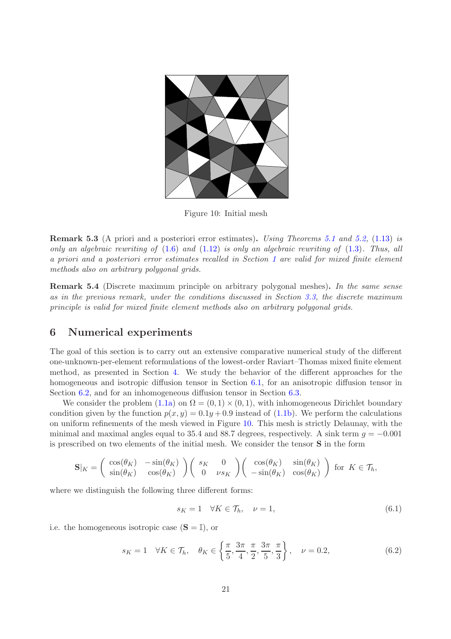<span id="page-20-2"></span>

Figure 10: Initial mesh

Remark 5.3 (A priori and a posteriori error estimates). Using Theorems [5.1](#page-18-4) and [5.2,](#page-19-3) [\(1.13\)](#page-4-1) is only an algebraic rewriting of  $(1.6)$  and  $(1.12)$  is only an algebraic rewriting of  $(1.3)$ . Thus, all a priori and a posteriori error estimates recalled in Section [1](#page-0-2) are valid for mixed finite element methods also on arbitrary polygonal grids.

Remark 5.4 (Discrete maximum principle on arbitrary polygonal meshes). In the same sense as in the previous remark, under the conditions discussed in Section [3.3,](#page-7-1) the discrete maximum principle is valid for mixed finite element methods also on arbitrary polygonal grids.

# <span id="page-20-0"></span>6 Numerical experiments

The goal of this section is to carry out an extensive comparative numerical study of the different one-unknown-per-element reformulations of the lowest-order Raviart–Thomas mixed finite element method, as presented in Section [4.](#page-7-0) We study the behavior of the different approaches for the homogeneous and isotropic diffusion tensor in Section [6.1,](#page-24-0) for an anisotropic diffusion tensor in Section [6.2,](#page-25-1) and for an inhomogeneous diffusion tensor in Section [6.3.](#page-25-2)

We consider the problem  $(1.1a)$  on  $\Omega = (0,1) \times (0,1)$ , with inhomogeneous Dirichlet boundary condition given by the function  $p(x, y) = 0.1y + 0.9$  instead of [\(1.1b\)](#page-0-1). We perform the calculations on uniform refinements of the mesh viewed in Figure [10.](#page-20-2) This mesh is strictly Delaunay, with the minimal and maximal angles equal to 35.4 and 88.7 degrees, respectively. A sink term  $q = -0.001$ is prescribed on two elements of the initial mesh. We consider the tensor S in the form

$$
\mathbf{S}|_K = \begin{pmatrix} \cos(\theta_K) & -\sin(\theta_K) \\ \sin(\theta_K) & \cos(\theta_K) \end{pmatrix} \begin{pmatrix} s_K & 0 \\ 0 & \nu s_K \end{pmatrix} \begin{pmatrix} \cos(\theta_K) & \sin(\theta_K) \\ -\sin(\theta_K) & \cos(\theta_K) \end{pmatrix}
$$
 for  $K \in \mathcal{T}_h$ ,

where we distinguish the following three different forms:

<span id="page-20-3"></span>
$$
s_K = 1 \quad \forall K \in \mathcal{T}_h, \quad \nu = 1,\tag{6.1}
$$

i.e. the homogeneous isotropic case  $(S = \mathbb{I})$ , or

<span id="page-20-1"></span>
$$
s_K = 1 \quad \forall K \in \mathcal{T}_h, \quad \theta_K \in \left\{ \frac{\pi}{5}, \frac{3\pi}{4}, \frac{\pi}{2}, \frac{3\pi}{5}, \frac{\pi}{3} \right\}, \quad \nu = 0.2,
$$
 (6.2)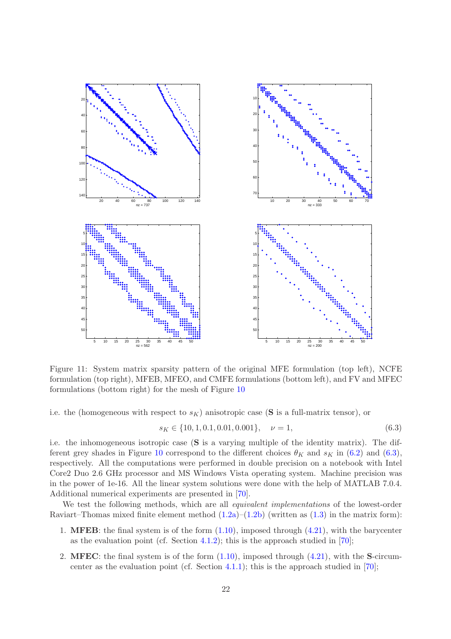

<span id="page-21-1"></span>Figure 11: System matrix sparsity pattern of the original MFE formulation (top left), NCFE formulation (top right), MFEB, MFEO, and CMFE formulations (bottom left), and FV and MFEC formulations (bottom right) for the mesh of Figure [10](#page-20-2)

i.e. the (homogeneous with respect to  $s_K$ ) anisotropic case (S is a full-matrix tensor), or

<span id="page-21-0"></span>
$$
s_K \in \{10, 1, 0.1, 0.01, 0.001\}, \quad \nu = 1,\tag{6.3}
$$

i.e. the inhomogeneous isotropic case (S is a varying multiple of the identity matrix). The dif-ferent grey shades in Figure [10](#page-20-2) correspond to the different choices  $\theta_K$  and  $s_K$  in [\(6.2\)](#page-20-1) and [\(6.3\)](#page-21-0), respectively. All the computations were performed in double precision on a notebook with Intel Core2 Duo 2.6 GHz processor and MS Windows Vista operating system. Machine precision was in the power of 1e-16. All the linear system solutions were done with the help of MATLAB 7.0.4. Additional numerical experiments are presented in [\[70\]](#page-30-7).

We test the following methods, which are all *equivalent implementations* of the lowest-order Raviart–Thomas mixed finite element method  $(1.2a)$ – $(1.2b)$  (written as  $(1.3)$ ) in the matrix form):

- 1. **MFEB**: the final system is of the form  $(1.10)$ , imposed through  $(4.21)$ , with the barycenter as the evaluation point (cf. Section [4.1.2\)](#page-12-0); this is the approach studied in [\[70\]](#page-30-7);
- 2. MFEC: the final system is of the form  $(1.10)$ , imposed through  $(4.21)$ , with the S-circum-center as the evaluation point (cf. Section [4.1.1\)](#page-11-0); this is the approach studied in  $[70]$ ;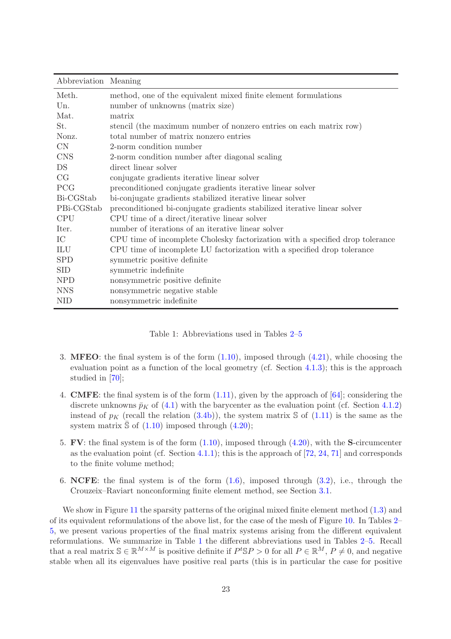| Abbreviation Meaning |                                                                               |
|----------------------|-------------------------------------------------------------------------------|
| Meth.                | method, one of the equivalent mixed finite element formulations               |
| Un.                  | number of unknowns (matrix size)                                              |
| Mat.                 | matrix                                                                        |
| St.                  | stencil (the maximum number of nonzero entries on each matrix row)            |
| Nonz.                | total number of matrix nonzero entries                                        |
| CN                   | 2-norm condition number                                                       |
| <b>CNS</b>           | 2-norm condition number after diagonal scaling                                |
| DS                   | direct linear solver                                                          |
| CG                   | conjugate gradients iterative linear solver                                   |
| <b>PCG</b>           | preconditioned conjugate gradients iterative linear solver                    |
| Bi-CGStab            | bi-conjugate gradients stabilized iterative linear solver                     |
| PBi-CGStab           | preconditioned bi-conjugate gradients stabilized iterative linear solver      |
| <b>CPU</b>           | CPU time of a direct/iterative linear solver                                  |
| Iter.                | number of iterations of an iterative linear solver                            |
| IC                   | CPU time of incomplete Cholesky factorization with a specified drop tolerance |
| ILU                  | CPU time of incomplete LU factorization with a specified drop tolerance       |
| <b>SPD</b>           | symmetric positive definite                                                   |
| <b>SID</b>           | symmetric indefinite                                                          |
| <b>NPD</b>           | nonsymmetric positive definite                                                |
| <b>NNS</b>           | nonsymmetric negative stable                                                  |
| <b>NID</b>           | nonsymmetric indefinite                                                       |

<span id="page-22-0"></span>Table 1: Abbreviations used in Tables [2](#page-23-0)[–5](#page-25-3)

- 3. **MFEO**: the final system is of the form  $(1.10)$ , imposed through  $(4.21)$ , while choosing the evaluation point as a function of the local geometry (cf. Section [4.1.3\)](#page-13-0); this is the approach studied in [\[70\]](#page-30-7);
- 4. CMFE: the final system is of the form [\(1.11\)](#page-3-2), given by the approach of [\[64\]](#page-30-5); considering the discrete unknowns  $\bar{p}_K$  of [\(4.1\)](#page-8-2) with the barycenter as the evaluation point (cf. Section [4.1.2\)](#page-12-0) instead of  $p<sub>K</sub>$  (recall the relation [\(3.4b\)](#page-6-5)), the system matrix S of [\(1.11\)](#page-3-2) is the same as the system matrix  $\Im$  of [\(1.10\)](#page-3-1) imposed through [\(4.20\)](#page-17-4);
- 5. FV: the final system is of the form  $(1.10)$ , imposed through  $(4.20)$ , with the S-circumcenter as the evaluation point (cf. Section [4.1.1\)](#page-11-0); this is the approach of  $[72, 24, 71]$  $[72, 24, 71]$  $[72, 24, 71]$  $[72, 24, 71]$  and corresponds to the finite volume method;
- 6. NCFE: the final system is of the form  $(1.6)$ , imposed through  $(3.2)$ , i.e., through the Crouzeix–Raviart nonconforming finite element method, see Section [3.1.](#page-6-0)

We show in Figure [11](#page-21-1) the sparsity patterns of the original mixed finite element method  $(1.3)$  and of its equivalent reformulations of the above list, for the case of the mesh of Figure [10.](#page-20-2) In Tables [2–](#page-23-0) [5,](#page-25-3) we present various properties of the final matrix systems arising from the different equivalent reformulations. We summarize in Table [1](#page-22-0) the different abbreviations used in Tables [2](#page-23-0)[–5.](#page-25-3) Recall that a real matrix  $\mathbb{S} \in \mathbb{R}^{M \times M}$  is positive definite if  $P^t \mathbb{S} P > 0$  for all  $P \in \mathbb{R}^M$ ,  $P \neq 0$ , and negative stable when all its eigenvalues have positive real parts (this is in particular the case for positive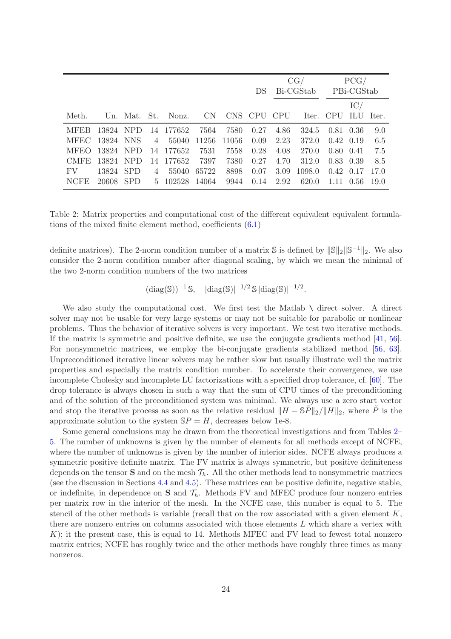|             |           |                |                                    |       |      | DS.  | CG/<br>Bi-CGStab |                       | PCG/<br>PBi-CGStab |                  |      |
|-------------|-----------|----------------|------------------------------------|-------|------|------|------------------|-----------------------|--------------------|------------------|------|
| Meth.       |           |                | Un. Mat. St. Nonz. CN              |       |      |      |                  | CNS CPU CPU Iter. CPU |                    | IC/<br>ILU Iter. |      |
| <b>MFER</b> |           |                | 13824 NPD 14 177652 7564           |       | 7580 | 0.27 | 4.86             | 324.5                 | 0.81 0.36          |                  | 9.0  |
|             |           |                | MFEC 13824 NNS 4 55040 11256 11056 |       |      | 0.09 | 2.23             | 372.0                 | $0.42$ 0.19        |                  | 6.5  |
| <b>MFEO</b> | 13824 NPD |                | 14 177652                          | 7531  | 7558 | 0.28 | 4.08             | 270.0                 | $0.80 \quad 0.41$  |                  | 7.5  |
| CMFE -      | 13824 NPD |                | 14 177652 7397                     |       | 7380 | 0.27 | 4.70             | 312.0                 | 0.83 0.39          |                  | 8.5  |
| FV          | 13824 SPD | $\overline{4}$ | 55040                              | 65722 | 8898 | 0.07 | 3.09             | 1098.0                | $0.42$ $0.17$      |                  | 17.0 |
| NCFE        | 20608 SPD |                | 5 102528                           | 14064 | 9944 | 0.14 | 2.92             | 620.0                 |                    | 1.11 0.56        | 19.0 |

<span id="page-23-0"></span>Table 2: Matrix properties and computational cost of the different equivalent equivalent formulations of the mixed finite element method, coefficients [\(6.1\)](#page-20-3)

definite matrices). The 2-norm condition number of a matrix  $\mathbb{S}$  is defined by  $\|\mathbb{S}\|_2\|\mathbb{S}^{-1}\|_2$ . We also consider the 2-norm condition number after diagonal scaling, by which we mean the minimal of the two 2-norm condition numbers of the two matrices

$$
(\operatorname{diag}(\mathbb{S}))^{-1} \mathbb{S}, \quad |\operatorname{diag}(\mathbb{S})|^{-1/2} \mathbb{S} |\operatorname{diag}(\mathbb{S})|^{-1/2}.
$$

We also study the computational cost. We first test the Matlab  $\setminus$  direct solver. A direct solver may not be usable for very large systems or may not be suitable for parabolic or nonlinear problems. Thus the behavior of iterative solvers is very important. We test two iterative methods. If the matrix is symmetric and positive definite, we use the conjugate gradients method [\[41,](#page-28-15) [56\]](#page-29-15). For nonsymmetric matrices, we employ the bi-conjugate gradients stabilized method [\[56,](#page-29-15) [63\]](#page-30-13). Unpreconditioned iterative linear solvers may be rather slow but usually illustrate well the matrix properties and especially the matrix condition number. To accelerate their convergence, we use incomplete Cholesky and incomplete LU factorizations with a specified drop tolerance, cf. [\[60\]](#page-30-14). The drop tolerance is always chosen in such a way that the sum of CPU times of the preconditioning and of the solution of the preconditioned system was minimal. We always use a zero start vector and stop the iterative process as soon as the relative residual  $\|H - \mathbb{S}P\|_2 / \|H\|_2$ , where P is the approximate solution to the system  $SP = H$ , decreases below 1e-8.

Some general conclusions may be drawn from the theoretical investigations and from Tables [2–](#page-23-0) [5.](#page-25-3) The number of unknowns is given by the number of elements for all methods except of NCFE, where the number of unknowns is given by the number of interior sides. NCFE always produces a symmetric positive definite matrix. The FV matrix is always symmetric, but positive definiteness depends on the tensor **S** and on the mesh  $\mathcal{T}_h$ . All the other methods lead to nonsymmetric matrices (see the discussion in Sections [4.4](#page-17-0) and [4.5\)](#page-18-1). These matrices can be positive definite, negative stable, or indefinite, in dependence on  $S$  and  $\mathcal{T}_h$ . Methods FV and MFEC produce four nonzero entries per matrix row in the interior of the mesh. In the NCFE case, this number is equal to 5. The stencil of the other methods is variable (recall that on the row associated with a given element  $K$ , there are nonzero entries on columns associated with those elements L which share a vertex with  $K$ ; it the present case, this is equal to 14. Methods MFEC and FV lead to fewest total nonzero matrix entries; NCFE has roughly twice and the other methods have roughly three times as many nonzeros.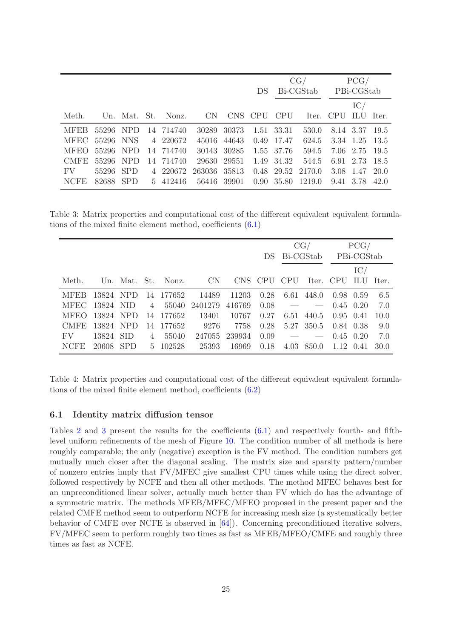|             |           |  |                    |                       |             |     |            |                                         | $CG/$ $PCG/$         |                |      |
|-------------|-----------|--|--------------------|-----------------------|-------------|-----|------------|-----------------------------------------|----------------------|----------------|------|
|             |           |  |                    |                       |             | DS. | Bi-CGStab  |                                         | PBi-CGStab           |                |      |
|             |           |  |                    |                       |             |     |            |                                         |                      | $\mathrm{IC}/$ |      |
| Meth.       |           |  |                    | Un. Mat. St. Nonz. CN |             |     |            | CNS CPU CPU Iter. CPU ILU Iter.         |                      |                |      |
| <b>MFEB</b> | 55296 NPD |  | 14 714740          | 30289                 | 30373       |     | 1.51 33.31 | 530.0                                   |                      | 8.14 3.37 19.5 |      |
| MFEC -      |           |  | 55296 NNS 4 220672 | 45016                 | 44643       |     | 0.49 17.47 |                                         | 624.5 3.34 1.25 13.5 |                |      |
| <b>MFEO</b> | 55296 NPD |  | 14 714740          | 30143                 | 30285       |     | 1.55 37.76 | 594.5                                   | 7.06 2.75 19.5       |                |      |
| CMFE.       | 55296 NPD |  | 14 714740          |                       | 29630 29551 |     | 1.49 34.32 |                                         | 544.5 6.91 2.73 18.5 |                |      |
| FV FV       | 55296 SPD |  | 4 220672           | 263036 35813          |             |     |            | 0.48 29.52 2170.0 3.08 1.47             |                      |                | 20.0 |
| <b>NCFE</b> | 82688 SPD |  | 5 412416           |                       |             |     |            | 56416 39901 0.90 35.80 1219.0 9.41 3.78 |                      |                | 42.0 |

Table 3: Matrix properties and computational cost of the different equivalent equivalent formulations of the mixed finite element method, coefficients [\(6.1\)](#page-20-3)

<span id="page-24-1"></span>

|                |           |   |           |                       |        |             | CG/       |                          | PCG/              |           |      |
|----------------|-----------|---|-----------|-----------------------|--------|-------------|-----------|--------------------------|-------------------|-----------|------|
|                |           |   |           |                       |        | DS.         | Bi-CGStab |                          | PBi-CGStab        |           |      |
|                |           |   |           |                       |        |             |           |                          |                   | IC/       |      |
| Meth.          |           |   |           | Un. Mat. St. Nonz. CN |        | CNS CPU CPU |           | Iter.                    | CPU               | ILU Iter. |      |
| <b>MFER</b>    | 13824 NPD |   | 14 177652 | 14489                 | 11203  | 0.28        | 6.61      | 448.0                    | 0.98 0.59         |           | 6.5  |
| MFEC 13824 NID |           | 4 | 55040     | 2401279               | 416769 | 0.08        |           | $\overline{\phantom{a}}$ | $0.45 \quad 0.20$ |           | 7.0  |
| <b>MFEO</b>    | 13824 NPD |   | 14 177652 | 13401                 | 10767  | 0.27        | 6.51      | 440.5                    | 0.95 0.41         |           | 10.0 |
| CMFE.          | 13824 NPD |   | 14 177652 | 9276                  | 7758   | 0.28        |           | 5.27 350.5               | 0.84 0.38         |           | 9.0  |
| FV             | 13824 SID | 4 | 55040     | 247055                | 239934 | 0.09        |           |                          | $0.45 \quad 0.20$ |           | 7.0  |
| NCFE           | 20608 SPD |   | 5 102528  | 25393                 | 16969  | 0.18        | 4.03      | 850.0                    | 1.12 0.41         |           | 30.0 |

<span id="page-24-2"></span>Table 4: Matrix properties and computational cost of the different equivalent equivalent formulations of the mixed finite element method, coefficients [\(6.2\)](#page-20-1)

#### <span id="page-24-0"></span>6.1 Identity matrix diffusion tensor

Tables [2](#page-23-0) and [3](#page-24-1) present the results for the coefficients [\(6.1\)](#page-20-3) and respectively fourth- and fifthlevel uniform refinements of the mesh of Figure [10.](#page-20-2) The condition number of all methods is here roughly comparable; the only (negative) exception is the FV method. The condition numbers get mutually much closer after the diagonal scaling. The matrix size and sparsity pattern/number of nonzero entries imply that FV/MFEC give smallest CPU times while using the direct solver, followed respectively by NCFE and then all other methods. The method MFEC behaves best for an unpreconditioned linear solver, actually much better than FV which do has the advantage of a symmetric matrix. The methods MFEB/MFEC/MFEO proposed in the present paper and the related CMFE method seem to outperform NCFE for increasing mesh size (a systematically better behavior of CMFE over NCFE is observed in [\[64\]](#page-30-5)). Concerning preconditioned iterative solvers, FV/MFEC seem to perform roughly two times as fast as MFEB/MFEO/CMFE and roughly three times as fast as NCFE.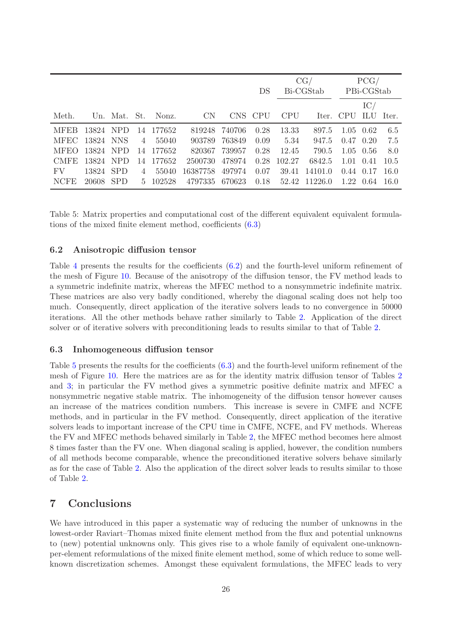|                |           |            |                |                    |           |        | DS         | CG/<br>Bi-CGStab |               | PCG/<br>PBi-CGStab  |  |       |
|----------------|-----------|------------|----------------|--------------------|-----------|--------|------------|------------------|---------------|---------------------|--|-------|
|                |           |            |                |                    |           |        |            |                  |               | IC/                 |  |       |
| Meth.          |           |            |                | Un. Mat. St. Nonz. | <b>CN</b> | CNS.   | <b>CPU</b> | <b>CPU</b>       |               | Iter. CPU ILU Iter. |  |       |
| <b>MFEB</b>    | 13824 NPD |            |                | 14 177652          | 819248    | 740706 | 0.28       | 13.33            | 897.5         | $1.05 \quad 0.62$   |  | 6.5   |
| MFEC 13824 NNS |           |            | $\overline{4}$ | 55040              | 903789    | 763849 | 0.09       | 5.34             | 947.5         | $0.47$ $0.20$       |  | 7.5   |
| <b>MFEO</b>    | 13824 NPD |            |                | 14 177652          | 820367    | 739957 | 0.28       | 12.45            | 790.5         | $1.05 \quad 0.56$   |  | 8.0   |
| <b>CMFE</b>    | 13824 NPD |            | 14             | 177652             | 2500730   | 478974 | 0.28       | 102.27           | 6842.5        | $1.01 \quad 0.41$   |  | 10.5  |
| FV             | 13824     | <b>SPD</b> | 4              | 55040              | 16387758  | 497974 | 0.07       | 39.41            | 14101.0       | $0.44$ $0.17$       |  | 16.0  |
| <b>NCFE</b>    | 20608     | SPD.       |                | 5 102528           | 4797335   | 670623 | 0.18       |                  | 52.42 11226.0 | $1.22 \quad 0.64$   |  | -16.0 |

<span id="page-25-3"></span>Table 5: Matrix properties and computational cost of the different equivalent equivalent formulations of the mixed finite element method, coefficients [\(6.3\)](#page-21-0)

#### <span id="page-25-1"></span>6.2 Anisotropic diffusion tensor

Table [4](#page-24-2) presents the results for the coefficients [\(6.2\)](#page-20-1) and the fourth-level uniform refinement of the mesh of Figure [10.](#page-20-2) Because of the anisotropy of the diffusion tensor, the FV method leads to a symmetric indefinite matrix, whereas the MFEC method to a nonsymmetric indefinite matrix. These matrices are also very badly conditioned, whereby the diagonal scaling does not help too much. Consequently, direct application of the iterative solvers leads to no convergence in 50000 iterations. All the other methods behave rather similarly to Table [2.](#page-23-0) Application of the direct solver or of iterative solvers with preconditioning leads to results similar to that of Table [2.](#page-23-0)

#### <span id="page-25-2"></span>6.3 Inhomogeneous diffusion tensor

Table [5](#page-25-3) presents the results for the coefficients [\(6.3\)](#page-21-0) and the fourth-level uniform refinement of the mesh of Figure [10.](#page-20-2) Here the matrices are as for the identity matrix diffusion tensor of Tables [2](#page-23-0) and [3;](#page-24-1) in particular the FV method gives a symmetric positive definite matrix and MFEC a nonsymmetric negative stable matrix. The inhomogeneity of the diffusion tensor however causes an increase of the matrices condition numbers. This increase is severe in CMFE and NCFE methods, and in particular in the FV method. Consequently, direct application of the iterative solvers leads to important increase of the CPU time in CMFE, NCFE, and FV methods. Whereas the FV and MFEC methods behaved similarly in Table [2,](#page-23-0) the MFEC method becomes here almost 8 times faster than the FV one. When diagonal scaling is applied, however, the condition numbers of all methods become comparable, whence the preconditioned iterative solvers behave similarly as for the case of Table [2.](#page-23-0) Also the application of the direct solver leads to results similar to those of Table [2.](#page-23-0)

# <span id="page-25-0"></span>7 Conclusions

We have introduced in this paper a systematic way of reducing the number of unknowns in the lowest-order Raviart–Thomas mixed finite element method from the flux and potential unknowns to (new) potential unknowns only. This gives rise to a whole family of equivalent one-unknownper-element reformulations of the mixed finite element method, some of which reduce to some wellknown discretization schemes. Amongst these equivalent formulations, the MFEC leads to very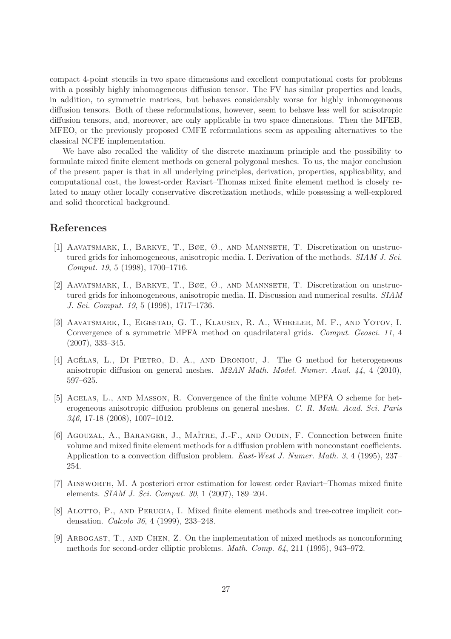compact 4-point stencils in two space dimensions and excellent computational costs for problems with a possibly highly inhomogeneous diffusion tensor. The FV has similar properties and leads, in addition, to symmetric matrices, but behaves considerably worse for highly inhomogeneous diffusion tensors. Both of these reformulations, however, seem to behave less well for anisotropic diffusion tensors, and, moreover, are only applicable in two space dimensions. Then the MFEB, MFEO, or the previously proposed CMFE reformulations seem as appealing alternatives to the classical NCFE implementation.

We have also recalled the validity of the discrete maximum principle and the possibility to formulate mixed finite element methods on general polygonal meshes. To us, the major conclusion of the present paper is that in all underlying principles, derivation, properties, applicability, and computational cost, the lowest-order Raviart–Thomas mixed finite element method is closely related to many other locally conservative discretization methods, while possessing a well-explored and solid theoretical background.

# <span id="page-26-2"></span>References

- [1] Aavatsmark, I., Barkve, T., Bøe, Ø., and Mannseth, T. Discretization on unstructured grids for inhomogeneous, anisotropic media. I. Derivation of the methods. SIAM J. Sci. Comput. 19, 5 (1998), 1700–1716.
- <span id="page-26-3"></span>[2] Aavatsmark, I., Barkve, T., Bøe, Ø., and Mannseth, T. Discretization on unstructured grids for inhomogeneous, anisotropic media. II. Discussion and numerical results. SIAM J. Sci. Comput. 19, 5 (1998), 1717–1736.
- <span id="page-26-4"></span>[3] Aavatsmark, I., Eigestad, G. T., Klausen, R. A., Wheeler, M. F., and Yotov, I. Convergence of a symmetric MPFA method on quadrilateral grids. Comput. Geosci. 11, 4 (2007), 333–345.
- <span id="page-26-8"></span>[4] AGÉLAS, L., DI PIETRO, D. A., AND DRONIOU, J. The G method for heterogeneous anisotropic diffusion on general meshes. M2AN Math. Model. Numer. Anal. 44, 4 (2010), 597–625.
- <span id="page-26-5"></span>[5] Agelas, L., and Masson, R. Convergence of the finite volume MPFA O scheme for heterogeneous anisotropic diffusion problems on general meshes. C. R. Math. Acad. Sci. Paris 346, 17-18 (2008), 1007–1012.
- <span id="page-26-0"></span>[6] AGOUZAL, A., BARANGER, J., MAÎTRE, J.-F., AND OUDIN, F. Connection between finite volume and mixed finite element methods for a diffusion problem with nonconstant coefficients. Application to a convection diffusion problem. East-West J. Numer. Math. 3, 4 (1995), 237– 254.
- <span id="page-26-6"></span>[7] Ainsworth, M. A posteriori error estimation for lowest order Raviart–Thomas mixed finite elements. SIAM J. Sci. Comput. 30, 1 (2007), 189–204.
- <span id="page-26-1"></span>[8] Alotto, P., and Perugia, I. Mixed finite element methods and tree-cotree implicit condensation. Calcolo 36, 4 (1999), 233–248.
- <span id="page-26-7"></span>[9] Arbogast, T., and Chen, Z. On the implementation of mixed methods as nonconforming methods for second-order elliptic problems. Math. Comp. 64, 211 (1995), 943–972.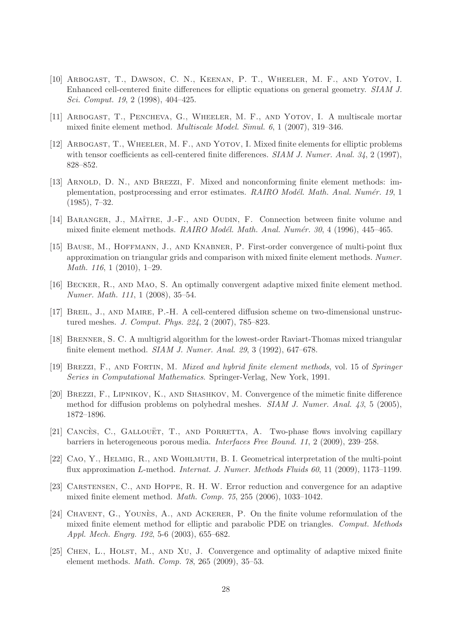- <span id="page-27-3"></span>[10] Arbogast, T., Dawson, C. N., Keenan, P. T., Wheeler, M. F., and Yotov, I. Enhanced cell-centered finite differences for elliptic equations on general geometry. SIAM J. Sci. Comput. 19, 2 (1998), 404–425.
- <span id="page-27-10"></span><span id="page-27-2"></span>[11] Arbogast, T., Pencheva, G., Wheeler, M. F., and Yotov, I. A multiscale mortar mixed finite element method. Multiscale Model. Simul. 6, 1 (2007), 319–346.
- [12] ARBOGAST, T., WHEELER, M. F., AND YOTOV, I. Mixed finite elements for elliptic problems with tensor coefficients as cell-centered finite differences.  $SIAM J. Numer. Anal. 34, 2 (1997),$ 828–852.
- <span id="page-27-15"></span>[13] ARNOLD, D. N., AND BREZZI, F. Mixed and nonconforming finite element methods: implementation, postprocessing and error estimates. RAIRO Modél. Math. Anal. Numér. 19, 1 (1985), 7–32.
- <span id="page-27-7"></span><span id="page-27-1"></span>[14] BARANGER, J., MAÎTRE, J.-F., AND OUDIN, F. Connection between finite volume and mixed finite element methods.  $RAIRO\ Model\$ . Math. Anal. Numér. 30, 4 (1996), 445–465.
- [15] Bause, M., Hoffmann, J., and Knabner, P. First-order convergence of multi-point flux approximation on triangular grids and comparison with mixed finite element methods. Numer. Math. 116, 1 (2010), 1–29.
- <span id="page-27-12"></span><span id="page-27-8"></span>[16] Becker, R., and Mao, S. An optimally convergent adaptive mixed finite element method. Numer. Math. 111, 1 (2008), 35–54.
- [17] BREIL, J., AND MAIRE, P.-H. A cell-centered diffusion scheme on two-dimensional unstructured meshes. J. Comput. Phys. 224, 2 (2007), 785–823.
- <span id="page-27-9"></span>[18] BRENNER, S. C. A multigrid algorithm for the lowest-order Raviart-Thomas mixed triangular finite element method. SIAM J. Numer. Anal. 29, 3 (1992), 647–678.
- <span id="page-27-0"></span>[19] Brezzi, F., and Fortin, M. Mixed and hybrid finite element methods, vol. 15 of Springer Series in Computational Mathematics. Springer-Verlag, New York, 1991.
- <span id="page-27-5"></span>[20] Brezzi, F., Lipnikov, K., and Shashkov, M. Convergence of the mimetic finite difference method for diffusion problems on polyhedral meshes. SIAM J. Numer. Anal. 43, 5 (2005), 1872–1896.
- <span id="page-27-14"></span>[21] CANCÈS, C., GALLOUËT, T., AND PORRETTA, A. Two-phase flows involving capillary barriers in heterogeneous porous media. Interfaces Free Bound. 11, 2 (2009), 239–258.
- <span id="page-27-6"></span>[22] Cao, Y., Helmig, R., and Wohlmuth, B. I. Geometrical interpretation of the multi-point flux approximation L-method. Internat. J. Numer. Methods Fluids 60, 11 (2009), 1173–1199.
- <span id="page-27-11"></span>[23] CARSTENSEN, C., AND HOPPE, R. H. W. Error reduction and convergence for an adaptive mixed finite element method. Math. Comp. 75, 255 (2006), 1033–1042.
- <span id="page-27-4"></span>[24] CHAVENT, G., YOUNÈS, A., AND ACKERER, P. On the finite volume reformulation of the mixed finite element method for elliptic and parabolic PDE on triangles. Comput. Methods Appl. Mech. Engrg. 192, 5-6 (2003), 655–682.
- <span id="page-27-13"></span>[25] CHEN, L., HOLST, M., AND XU, J. Convergence and optimality of adaptive mixed finite element methods. Math. Comp. 78, 265 (2009), 35–53.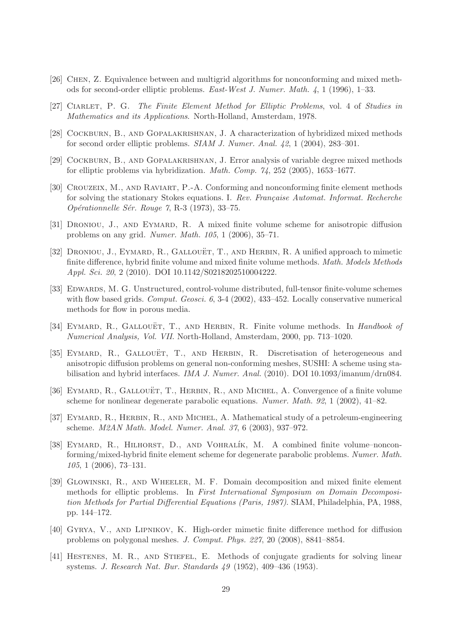- <span id="page-28-12"></span><span id="page-28-8"></span>[26] Chen, Z. Equivalence between and multigrid algorithms for nonconforming and mixed methods for second-order elliptic problems. East-West J. Numer. Math. 4, 1 (1996), 1–33.
- <span id="page-28-6"></span>[27] CIARLET, P. G. The Finite Element Method for Elliptic Problems, vol. 4 of Studies in Mathematics and its Applications. North-Holland, Amsterdam, 1978.
- <span id="page-28-7"></span>[28] Cockburn, B., and Gopalakrishnan, J. A characterization of hybridized mixed methods for second order elliptic problems. SIAM J. Numer. Anal. 42, 1 (2004), 283–301.
- <span id="page-28-11"></span>[29] COCKBURN, B., AND GOPALAKRISHNAN, J. Error analysis of variable degree mixed methods for elliptic problems via hybridization. Math. Comp. 74, 252 (2005), 1653–1677.
- [30] CROUZEIX, M., AND RAVIART, P.-A. Conforming and nonconforming finite element methods for solving the stationary Stokes equations. I. Rev. Française Automat. Informat. Recherche  $Opérationnelle Sér. Rouge 7, R-3 (1973), 33–75.$
- <span id="page-28-5"></span><span id="page-28-3"></span>[31] Droniou, J., and Eymard, R. A mixed finite volume scheme for anisotropic diffusion problems on any grid. Numer. Math. 105, 1 (2006), 35–71.
- [32] DRONIOU, J., EYMARD, R., GALLOUËT, T., AND HERBIN, R. A unified approach to mimetic finite difference, hybrid finite volume and mixed finite volume methods. Math. Models Methods Appl. Sci. 20, 2 (2010). DOI 10.1142/S0218202510004222.
- <span id="page-28-4"></span>[33] EDWARDS, M. G. Unstructured, control-volume distributed, full-tensor finite-volume schemes with flow based grids. Comput. Geosci. 6, 3-4 (2002), 433-452. Locally conservative numerical methods for flow in porous media.
- <span id="page-28-14"></span><span id="page-28-2"></span>[34] EYMARD, R., GALLOUËT, T., AND HERBIN, R. Finite volume methods. In *Handbook of* Numerical Analysis, Vol. VII. North-Holland, Amsterdam, 2000, pp. 713–1020.
- [35] EYMARD, R., GALLOUËT, T., AND HERBIN, R. Discretisation of heterogeneous and anisotropic diffusion problems on general non-conforming meshes, SUSHI: A scheme using stabilisation and hybrid interfaces. IMA J. Numer. Anal. (2010). DOI 10.1093/imanum/drn084.
- <span id="page-28-9"></span>[36] EYMARD, R., GALLOUËT, T., HERBIN, R., AND MICHEL, A. Convergence of a finite volume scheme for nonlinear degenerate parabolic equations. Numer. Math. 92, 1 (2002), 41–82.
- <span id="page-28-10"></span>[37] EYMARD, R., HERBIN, R., AND MICHEL, A. Mathematical study of a petroleum-engineering scheme. M2AN Math. Model. Numer. Anal. 37, 6 (2003), 937–972.
- <span id="page-28-13"></span>[38] EYMARD, R., HILHORST, D., AND VOHRALÍK, M. A combined finite volume–nonconforming/mixed-hybrid finite element scheme for degenerate parabolic problems. Numer. Math. 105, 1 (2006), 73–131.
- <span id="page-28-0"></span>[39] Glowinski, R., and Wheeler, M. F. Domain decomposition and mixed finite element methods for elliptic problems. In First International Symposium on Domain Decomposition Methods for Partial Differential Equations (Paris, 1987). SIAM, Philadelphia, PA, 1988, pp. 144–172.
- <span id="page-28-1"></span>[40] Gyrya, V., and Lipnikov, K. High-order mimetic finite difference method for diffusion problems on polygonal meshes. J. Comput. Phys. 227, 20 (2008), 8841–8854.
- <span id="page-28-15"></span>[41] HESTENES, M. R., AND STIEFEL, E. Methods of conjugate gradients for solving linear systems. J. Research Nat. Bur. Standards 49 (1952), 409–436 (1953).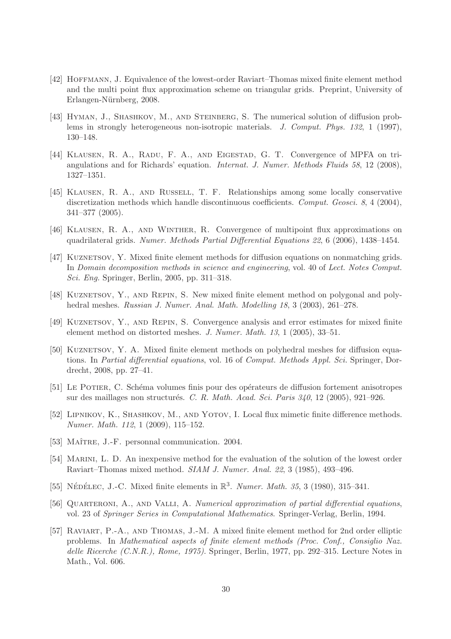- <span id="page-29-14"></span>[42] Hoffmann, J. Equivalence of the lowest-order Raviart–Thomas mixed finite element method and the multi point flux approximation scheme on triangular grids. Preprint, University of Erlangen-Nürnberg, 2008.
- <span id="page-29-4"></span>[43] HYMAN, J., SHASHKOV, M., AND STEINBERG, S. The numerical solution of diffusion problems in strongly heterogeneous non-isotropic materials. J. Comput. Phys. 132, 1 (1997), 130–148.
- <span id="page-29-6"></span>[44] Klausen, R. A., Radu, F. A., and Eigestad, G. T. Convergence of MPFA on triangulations and for Richards' equation. Internat. J. Numer. Methods Fluids 58, 12 (2008), 1327–1351.
- <span id="page-29-9"></span>[45] Klausen, R. A., and Russell, T. F. Relationships among some locally conservative discretization methods which handle discontinuous coefficients. Comput. Geosci. 8, 4 (2004), 341–377 (2005).
- <span id="page-29-5"></span><span id="page-29-2"></span>[46] KLAUSEN, R. A., AND WINTHER, R. Convergence of multipoint flux approximations on quadrilateral grids. Numer. Methods Partial Differential Equations 22, 6 (2006), 1438–1454.
- [47] KUZNETSOV, Y. Mixed finite element methods for diffusion equations on nonmatching grids. In Domain decomposition methods in science and engineering, vol. 40 of Lect. Notes Comput. Sci. Eng. Springer, Berlin, 2005, pp. 311–318.
- <span id="page-29-0"></span>[48] KUZNETSOV, Y., AND REPIN, S. New mixed finite element method on polygonal and polyhedral meshes. Russian J. Numer. Anal. Math. Modelling 18, 3 (2003), 261–278.
- <span id="page-29-1"></span>[49] Kuznetsov, Y., and Repin, S. Convergence analysis and error estimates for mixed finite element method on distorted meshes. J. Numer. Math. 13, 1 (2005), 33–51.
- <span id="page-29-3"></span>[50] KUZNETSOV, Y. A. Mixed finite element methods on polyhedral meshes for diffusion equations. In Partial differential equations, vol. 16 of Comput. Methods Appl. Sci. Springer, Dordrecht, 2008, pp. 27–41.
- <span id="page-29-7"></span>[51] Le Potier, C. Sch´ema volumes finis pour des op´erateurs de diffusion fortement anisotropes sur des maillages non structurés. C. R. Math. Acad. Sci. Paris  $340$ , 12 (2005), 921–926.
- <span id="page-29-8"></span>[52] LIPNIKOV, K., SHASHKOV, M., AND YOTOV, I. Local flux mimetic finite difference methods. Numer. Math. 112, 1 (2009), 115–152.
- <span id="page-29-13"></span><span id="page-29-12"></span>[53] MAÎTRE, J.-F. personnal communication. 2004.
- [54] MARINI, L. D. An inexpensive method for the evaluation of the solution of the lowest order Raviart–Thomas mixed method. SIAM J. Numer. Anal. 22, 3 (1985), 493–496.
- <span id="page-29-15"></span><span id="page-29-11"></span>[55] NÉDÉLEC, J.-C. Mixed finite elements in  $\mathbb{R}^3$ . Numer. Math. 35, 3 (1980), 315-341.
- [56] QUARTERONI, A., AND VALLI, A. Numerical approximation of partial differential equations, vol. 23 of Springer Series in Computational Mathematics. Springer-Verlag, Berlin, 1994.
- <span id="page-29-10"></span>[57] Raviart, P.-A., and Thomas, J.-M. A mixed finite element method for 2nd order elliptic problems. In Mathematical aspects of finite element methods (Proc. Conf., Consiglio Naz. delle Ricerche (C.N.R.), Rome, 1975). Springer, Berlin, 1977, pp. 292-315. Lecture Notes in Math., Vol. 606.